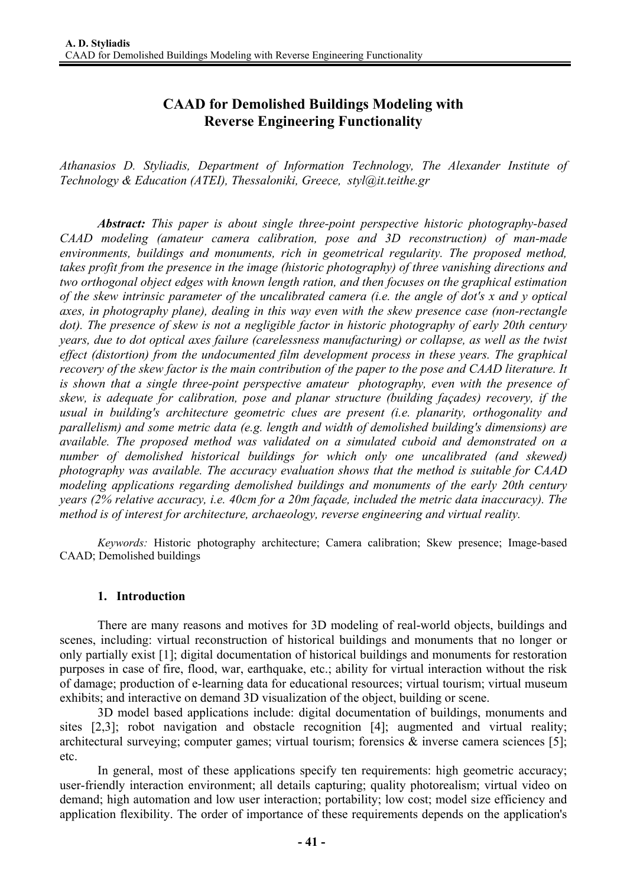# **CAAD for Demolished Buildings Modeling with Reverse Engineering Functionality**

*Athanasios D. Styliadis, Department of Information Technology, The Alexander Institute of Technology & Education (ATEI), Thessaloniki, Greece, styl@it.teithe.gr* 

*Abstract: This paper is about single three-point perspective historic photography-based CAAD modeling (amateur camera calibration, pose and 3D reconstruction) of man-made environments, buildings and monuments, rich in geometrical regularity. The proposed method, takes profit from the presence in the image (historic photography) of three vanishing directions and two orthogonal object edges with known length ration, and then focuses on the graphical estimation of the skew intrinsic parameter of the uncalibrated camera (i.e. the angle of dot's x and y optical axes, in photography plane), dealing in this way even with the skew presence case (non-rectangle dot). The presence of skew is not a negligible factor in historic photography of early 20th century years, due to dot optical axes failure (carelessness manufacturing) or collapse, as well as the twist effect (distortion) from the undocumented film development process in these years. The graphical recovery of the skew factor is the main contribution of the paper to the pose and CAAD literature. It is shown that a single three-point perspective amateur photography, even with the presence of skew, is adequate for calibration, pose and planar structure (building façades) recovery, if the usual in building's architecture geometric clues are present (i.e. planarity, orthogonality and parallelism) and some metric data (e.g. length and width of demolished building's dimensions) are available. The proposed method was validated on a simulated cuboid and demonstrated on a number of demolished historical buildings for which only one uncalibrated (and skewed) photography was available. The accuracy evaluation shows that the method is suitable for CAAD modeling applications regarding demolished buildings and monuments of the early 20th century years (2% relative accuracy, i.e. 40cm for a 20m façade, included the metric data inaccuracy). The method is of interest for architecture, archaeology, reverse engineering and virtual reality.*

*Keywords:* Historic photography architecture; Camera calibration; Skew presence; Image-based CAAD; Demolished buildings

#### **1. Introduction**

There are many reasons and motives for 3D modeling of real-world objects, buildings and scenes, including: virtual reconstruction of historical buildings and monuments that no longer or only partially exist [1]; digital documentation of historical buildings and monuments for restoration purposes in case of fire, flood, war, earthquake, etc.; ability for virtual interaction without the risk of damage; production of e-learning data for educational resources; virtual tourism; virtual museum exhibits; and interactive on demand 3D visualization of the object, building or scene.

3D model based applications include: digital documentation of buildings, monuments and sites [2,3]; robot navigation and obstacle recognition [4]; augmented and virtual reality; architectural surveying; computer games; virtual tourism; forensics & inverse camera sciences [5]; etc.

In general, most of these applications specify ten requirements: high geometric accuracy; user-friendly interaction environment; all details capturing; quality photorealism; virtual video on demand; high automation and low user interaction; portability; low cost; model size efficiency and application flexibility. The order of importance of these requirements depends on the application's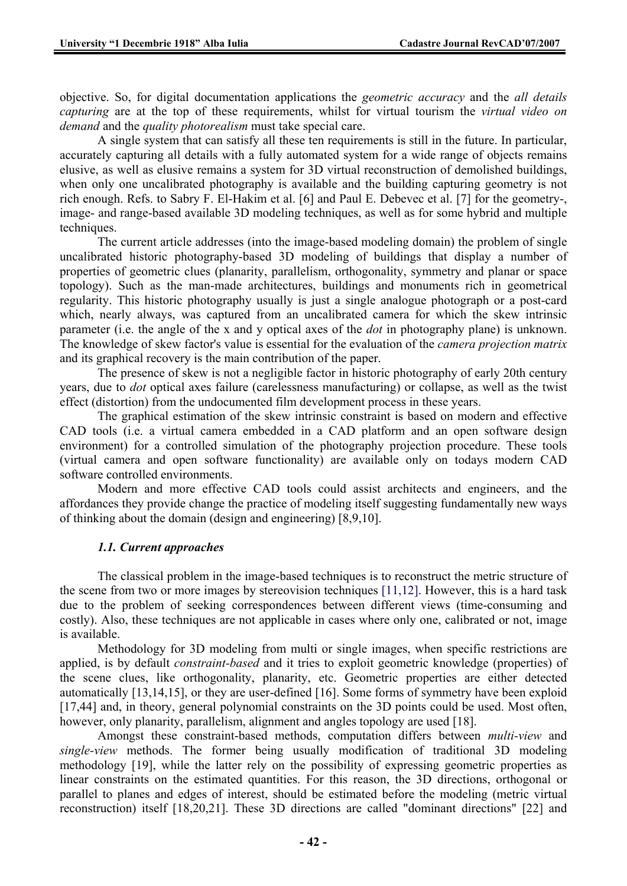objective. So, for digital documentation applications the *geometric accuracy* and the *all details capturing* are at the top of these requirements, whilst for virtual tourism the *virtual video on demand* and the *quality photorealism* must take special care.

A single system that can satisfy all these ten requirements is still in the future. In particular, accurately capturing all details with a fully automated system for a wide range of objects remains elusive, as well as elusive remains a system for 3D virtual reconstruction of demolished buildings, when only one uncalibrated photography is available and the building capturing geometry is not rich enough. Refs. to Sabry F. El-Hakim et al. [6] and Paul E. Debevec et al. [7] for the geometry-, image- and range-based available 3D modeling techniques, as well as for some hybrid and multiple techniques.

The current article addresses (into the image-based modeling domain) the problem of single uncalibrated historic photography-based 3D modeling of buildings that display a number of properties of geometric clues (planarity, parallelism, orthogonality, symmetry and planar or space topology). Such as the man-made architectures, buildings and monuments rich in geometrical regularity. This historic photography usually is just a single analogue photograph or a post-card which, nearly always, was captured from an uncalibrated camera for which the skew intrinsic parameter (i.e. the angle of the x and y optical axes of the *dot* in photography plane) is unknown. The knowledge of skew factor's value is essential for the evaluation of the *camera projection matrix* and its graphical recovery is the main contribution of the paper.

The presence of skew is not a negligible factor in historic photography of early 20th century years, due to *dot* optical axes failure (carelessness manufacturing) or collapse, as well as the twist effect (distortion) from the undocumented film development process in these years.

The graphical estimation of the skew intrinsic constraint is based on modern and effective CAD tools (i.e. a virtual camera embedded in a CAD platform and an open software design environment) for a controlled simulation of the photography projection procedure. These tools (virtual camera and open software functionality) are available only on todays modern CAD software controlled environments.

Modern and more effective CAD tools could assist architects and engineers, and the affordances they provide change the practice of modeling itself suggesting fundamentally new ways of thinking about the domain (design and engineering) [8,9,10].

#### *1.1. Current approaches*

The classical problem in the image-based techniques is to reconstruct the metric structure of the scene from two or more images by stereovision techniques [11,12]. However, this is a hard task due to the problem of seeking correspondences between different views (time-consuming and costly). Also, these techniques are not applicable in cases where only one, calibrated or not, image is available.

Methodology for 3D modeling from multi or single images, when specific restrictions are applied, is by default *constraint-based* and it tries to exploit geometric knowledge (properties) of the scene clues, like orthogonality, planarity, etc. Geometric properties are either detected automatically [13,14,15], or they are user-defined [16]. Some forms of symmetry have been exploid [17,44] and, in theory, general polynomial constraints on the 3D points could be used. Most often, however, only planarity, parallelism, alignment and angles topology are used [18].

Amongst these constraint-based methods, computation differs between *multi-view* and *single-view* methods. The former being usually modification of traditional 3D modeling methodology [19], while the latter rely on the possibility of expressing geometric properties as linear constraints on the estimated quantities. For this reason, the 3D directions, orthogonal or parallel to planes and edges of interest, should be estimated before the modeling (metric virtual reconstruction) itself [18,20,21]. These 3D directions are called "dominant directions" [22] and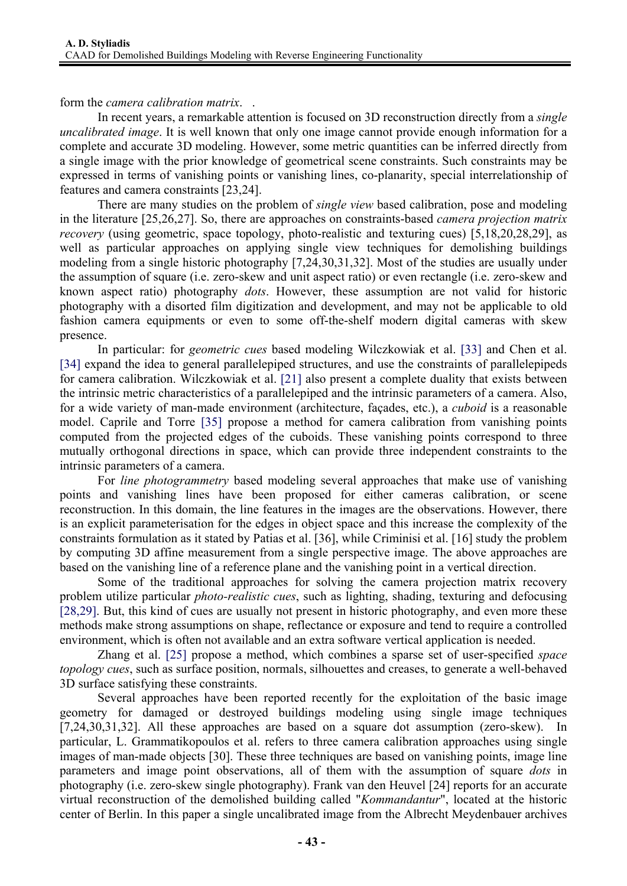form the *camera calibration matrix*. .

In recent years, a remarkable attention is focused on 3D reconstruction directly from a *single uncalibrated image*. It is well known that only one image cannot provide enough information for a complete and accurate 3D modeling. However, some metric quantities can be inferred directly from a single image with the prior knowledge of geometrical scene constraints. Such constraints may be expressed in terms of vanishing points or vanishing lines, co-planarity, special interrelationship of features and camera constraints [23,24].

There are many studies on the problem of *single view* based calibration, pose and modeling in the literature [25,26,27]. So, there are approaches on constraints-based *camera projection matrix recovery* (using geometric, space topology, photo-realistic and texturing cues) [5,18,20,28,29], as well as particular approaches on applying single view techniques for demolishing buildings modeling from a single historic photography [7,24,30,31,32]. Most of the studies are usually under the assumption of square (i.e. zero-skew and unit aspect ratio) or even rectangle (i.e. zero-skew and known aspect ratio) photography *dots*. However, these assumption are not valid for historic photography with a disorted film digitization and development, and may not be applicable to old fashion camera equipments or even to some off-the-shelf modern digital cameras with skew presence.

In particular: for *geometric cues* based modeling Wilczkowiak et al. [33] and Chen et al. [34] expand the idea to general parallelepiped structures, and use the constraints of parallelepipeds for camera calibration. Wilczkowiak et al. [21] also present a complete duality that exists between the intrinsic metric characteristics of a parallelepiped and the intrinsic parameters of a camera. Also, for a wide variety of man-made environment (architecture, façades, etc.), a *cuboid* is a reasonable model. Caprile and Torre [35] propose a method for camera calibration from vanishing points computed from the projected edges of the cuboids. These vanishing points correspond to three mutually orthogonal directions in space, which can provide three independent constraints to the intrinsic parameters of a camera.

For *line photogrammetry* based modeling several approaches that make use of vanishing points and vanishing lines have been proposed for either cameras calibration, or scene reconstruction. In this domain, the line features in the images are the observations. However, there is an explicit parameterisation for the edges in object space and this increase the complexity of the constraints formulation as it stated by Patias et al. [36], while Criminisi et al. [16] study the problem by computing 3D affine measurement from a single perspective image. The above approaches are based on the vanishing line of a reference plane and the vanishing point in a vertical direction.

Some of the traditional approaches for solving the camera projection matrix recovery problem utilize particular *photo-realistic cues*, such as lighting, shading, texturing and defocusing [28,29]. But, this kind of cues are usually not present in historic photography, and even more these methods make strong assumptions on shape, reflectance or exposure and tend to require a controlled environment, which is often not available and an extra software vertical application is needed.

Zhang et al. [25] propose a method, which combines a sparse set of user-specified *space topology cues*, such as surface position, normals, silhouettes and creases, to generate a well-behaved 3D surface satisfying these constraints.

Several approaches have been reported recently for the exploitation of the basic image geometry for damaged or destroyed buildings modeling using single image techniques [7,24,30,31,32]. All these approaches are based on a square dot assumption (zero-skew). In particular, L. Grammatikopoulos et al. refers to three camera calibration approaches using single images of man-made objects [30]. These three techniques are based on vanishing points, image line parameters and image point observations, all of them with the assumption of square *dots* in photography (i.e. zero-skew single photography). Frank van den Heuvel [24] reports for an accurate virtual reconstruction of the demolished building called "*Kommandantur*", located at the historic center of Berlin. In this paper a single uncalibrated image from the Albrecht Meydenbauer archives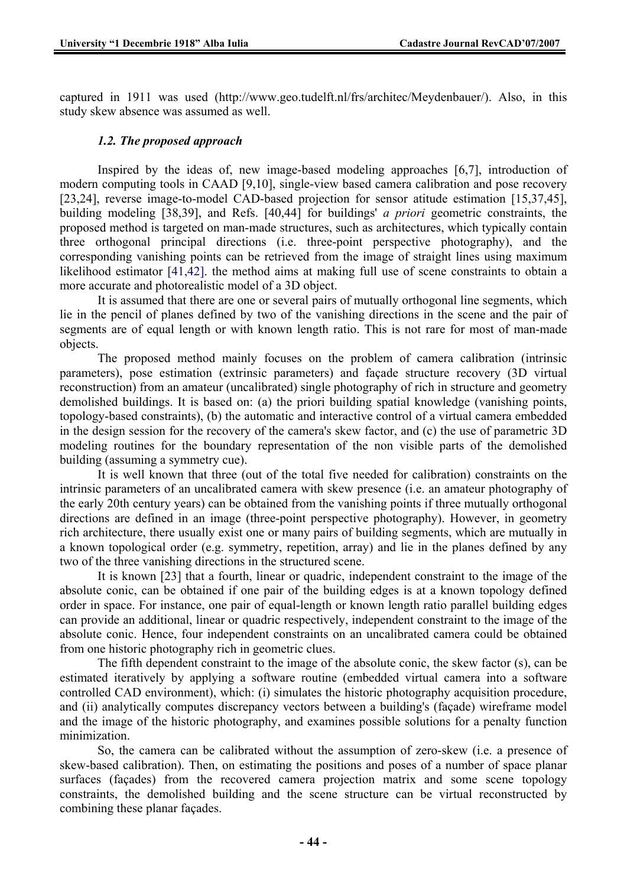captured in 1911 was used (http://www.geo.tudelft.nl/frs/architec/Meydenbauer/). Also, in this study skew absence was assumed as well.

#### *1.2. The proposed approach*

Inspired by the ideas of, new image-based modeling approaches [6,7], introduction of modern computing tools in CAAD [9,10], single-view based camera calibration and pose recovery [23,24], reverse image-to-model CAD-based projection for sensor atitude estimation [15,37,45], building modeling [38,39], and Refs. [40,44] for buildings' *a priori* geometric constraints, the proposed method is targeted on man-made structures, such as architectures, which typically contain three orthogonal principal directions (i.e. three-point perspective photography), and the corresponding vanishing points can be retrieved from the image of straight lines using maximum likelihood estimator [41,42]. the method aims at making full use of scene constraints to obtain a more accurate and photorealistic model of a 3D object.

It is assumed that there are one or several pairs of mutually orthogonal line segments, which lie in the pencil of planes defined by two of the vanishing directions in the scene and the pair of segments are of equal length or with known length ratio. This is not rare for most of man-made objects.

The proposed method mainly focuses on the problem of camera calibration (intrinsic parameters), pose estimation (extrinsic parameters) and façade structure recovery (3D virtual reconstruction) from an amateur (uncalibrated) single photography of rich in structure and geometry demolished buildings. It is based on: (a) the priori building spatial knowledge (vanishing points, topology-based constraints), (b) the automatic and interactive control of a virtual camera embedded in the design session for the recovery of the camera's skew factor, and (c) the use of parametric 3D modeling routines for the boundary representation of the non visible parts of the demolished building (assuming a symmetry cue).

It is well known that three (out of the total five needed for calibration) constraints on the intrinsic parameters of an uncalibrated camera with skew presence (i.e. an amateur photography of the early 20th century years) can be obtained from the vanishing points if three mutually orthogonal directions are defined in an image (three-point perspective photography). However, in geometry rich architecture, there usually exist one or many pairs of building segments, which are mutually in a known topological order (e.g. symmetry, repetition, array) and lie in the planes defined by any two of the three vanishing directions in the structured scene.

It is known [23] that a fourth, linear or quadric, independent constraint to the image of the absolute conic, can be obtained if one pair of the building edges is at a known topology defined order in space. For instance, one pair of equal-length or known length ratio parallel building edges can provide an additional, linear or quadric respectively, independent constraint to the image of the absolute conic. Hence, four independent constraints on an uncalibrated camera could be obtained from one historic photography rich in geometric clues.

The fifth dependent constraint to the image of the absolute conic, the skew factor (s), can be estimated iteratively by applying a software routine (embedded virtual camera into a software controlled CAD environment), which: (i) simulates the historic photography acquisition procedure, and (ii) analytically computes discrepancy vectors between a building's (façade) wireframe model and the image of the historic photography, and examines possible solutions for a penalty function minimization.

So, the camera can be calibrated without the assumption of zero-skew (i.e. a presence of skew-based calibration). Then, on estimating the positions and poses of a number of space planar surfaces (façades) from the recovered camera projection matrix and some scene topology constraints, the demolished building and the scene structure can be virtual reconstructed by combining these planar façades.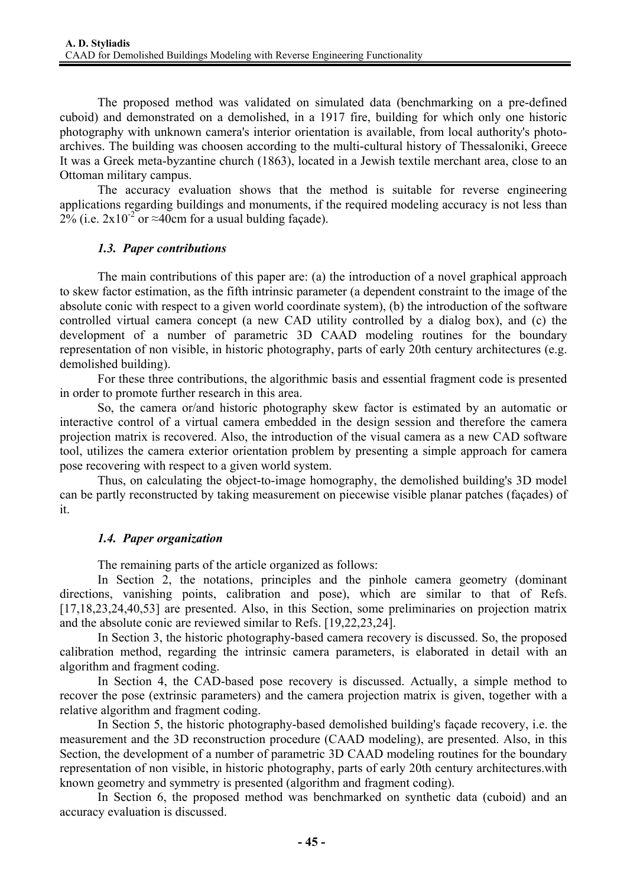The proposed method was validated on simulated data (benchmarking on a pre-defined cuboid) and demonstrated on a demolished, in a 1917 fire, building for which only one historic photography with unknown camera's interior orientation is available, from local authority's photoarchives. The building was choosen according to the multi-cultural history of Thessaloniki, Greece It was a Greek meta-byzantine church (1863), located in a Jewish textile merchant area, close to an Ottoman military campus.

The accuracy evaluation shows that the method is suitable for reverse engineering applications regarding buildings and monuments, if the required modeling accuracy is not less than 2% (i.e.  $2 \times 10^{-2}$  or ≈40cm for a usual bulding façade).

### *1.3. Paper contributions*

The main contributions of this paper are: (a) the introduction of a novel graphical approach to skew factor estimation, as the fifth intrinsic parameter (a dependent constraint to the image of the absolute conic with respect to a given world coordinate system), (b) the introduction of the software controlled virtual camera concept (a new CAD utility controlled by a dialog box), and (c) the development of a number of parametric 3D CAAD modeling routines for the boundary representation of non visible, in historic photography, parts of early 20th century architectures (e.g. demolished building).

For these three contributions, the algorithmic basis and essential fragment code is presented in order to promote further research in this area.

So, the camera or/and historic photography skew factor is estimated by an automatic or interactive control of a virtual camera embedded in the design session and therefore the camera projection matrix is recovered. Also, the introduction of the visual camera as a new CAD software tool, utilizes the camera exterior orientation problem by presenting a simple approach for camera pose recovering with respect to a given world system.

Thus, on calculating the object-to-image homography, the demolished building's 3D model can be partly reconstructed by taking measurement on piecewise visible planar patches (façades) of it.

### *1.4. Paper organization*

The remaining parts of the article organized as follows:

In Section 2, the notations, principles and the pinhole camera geometry (dominant directions, vanishing points, calibration and pose), which are similar to that of Refs. [17,18,23,24,40,53] are presented. Also, in this Section, some preliminaries on projection matrix and the absolute conic are reviewed similar to Refs. [19,22,23,24].

In Section 3, the historic photography-based camera recovery is discussed. So, the proposed calibration method, regarding the intrinsic camera parameters, is elaborated in detail with an algorithm and fragment coding.

In Section 4, the CAD-based pose recovery is discussed. Actually, a simple method to recover the pose (extrinsic parameters) and the camera projection matrix is given, together with a relative algorithm and fragment coding.

In Section 5, the historic photography-based demolished building's façade recovery, i.e. the measurement and the 3D reconstruction procedure (CAAD modeling), are presented. Also, in this Section, the development of a number of parametric 3D CAAD modeling routines for the boundary representation of non visible, in historic photography, parts of early 20th century architectures.with known geometry and symmetry is presented (algorithm and fragment coding).

In Section 6, the proposed method was benchmarked on synthetic data (cuboid) and an accuracy evaluation is discussed.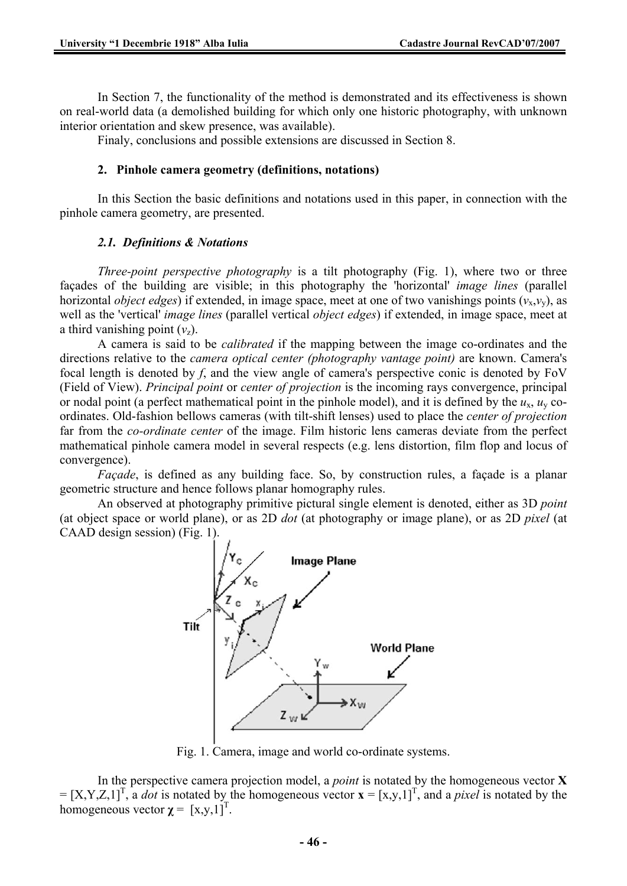In Section 7, the functionality of the method is demonstrated and its effectiveness is shown on real-world data (a demolished building for which only one historic photography, with unknown interior orientation and skew presence, was available).

Finaly, conclusions and possible extensions are discussed in Section 8.

#### **2. Pinhole camera geometry (definitions, notations)**

In this Section the basic definitions and notations used in this paper, in connection with the pinhole camera geometry, are presented.

#### *2.1. Definitions & Notations*

*Three-point perspective photography* is a tilt photography (Fig. 1), where two or three façades of the building are visible; in this photography the 'horizontal' *image lines* (parallel horizontal *object edges*) if extended, in image space, meet at one of two vanishings points  $(v_x, v_y)$ , as well as the 'vertical' *image lines* (parallel vertical *object edges*) if extended, in image space, meet at a third vanishing point  $(v_z)$ .

A camera is said to be *calibrated* if the mapping between the image co-ordinates and the directions relative to the *camera optical center (photography vantage point)* are known. Camera's focal length is denoted by *f*, and the view angle of camera's perspective conic is denoted by FoV (Field of View). *Principal point* or *center of projection* is the incoming rays convergence, principal or nodal point (a perfect mathematical point in the pinhole model), and it is defined by the  $u_x$ ,  $u_y$  coordinates. Old-fashion bellows cameras (with tilt-shift lenses) used to place the *center of projection* far from the *co-ordinate center* of the image. Film historic lens cameras deviate from the perfect mathematical pinhole camera model in several respects (e.g. lens distortion, film flop and locus of convergence).

*Façade*, is defined as any building face. So, by construction rules, a façade is a planar geometric structure and hence follows planar homography rules.

An observed at photography primitive pictural single element is denoted, either as 3D *point* (at object space or world plane), or as 2D *dot* (at photography or image plane), or as 2D *pixel* (at CAAD design session) (Fig. 1).



Fig. 1. Camera, image and world co-ordinate systems.

In the perspective camera projection model, a *point* is notated by the homogeneous vector **X**  $=[X, Y, Z, 1]^T$ , a *dot* is notated by the homogeneous vector  $\mathbf{x} = [x, y, 1]^T$ , and a *pixel* is notated by the homogeneous vector  $\chi = [x, y, 1]^T$ .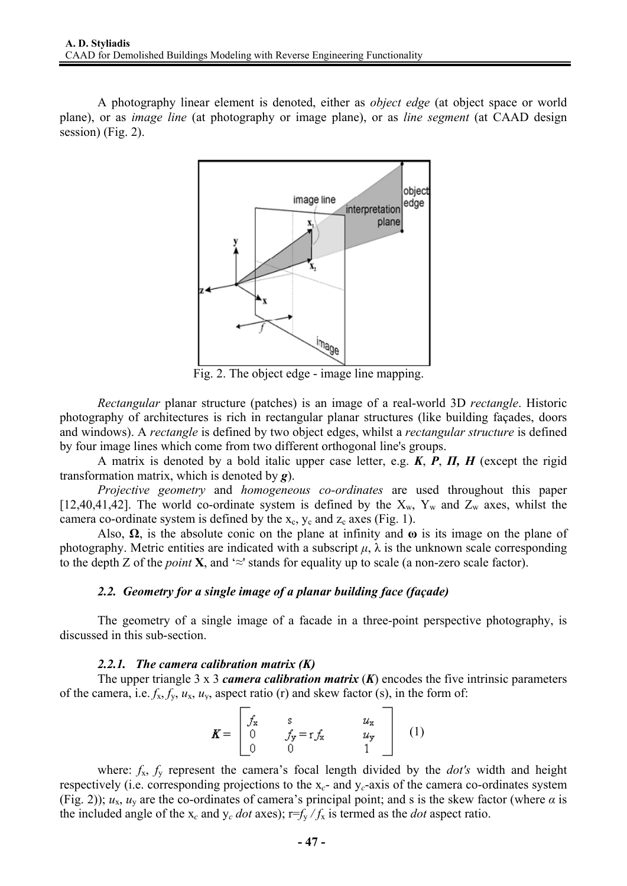A photography linear element is denoted, either as *object edge* (at object space or world plane), or as *image line* (at photography or image plane), or as *line segment* (at CAAD design session) (Fig. 2).



Fig. 2. The object edge - image line mapping.

*Rectangular* planar structure (patches) is an image of a real-world 3D *rectangle*. Historic photography of architectures is rich in rectangular planar structures (like building façades, doors and windows). A *rectangle* is defined by two object edges, whilst a *rectangular structure* is defined by four image lines which come from two different orthogonal line's groups.

A matrix is denoted by a bold italic upper case letter, e.g. *K*, *P*, *Π, H* (except the rigid transformation matrix, which is denoted by *g*).

*Projective geometry* and *homogeneous co-ordinates* are used throughout this paper [12,40,41,42]. The world co-ordinate system is defined by the  $X_w$ ,  $Y_w$  and  $Z_w$  axes, whilst the camera co-ordinate system is defined by the  $x_c$ ,  $y_c$  and  $z_c$  axes (Fig. 1).

Also, **Ω**, is the absolute conic on the plane at infinity and **ω** is its image on the plane of photography. Metric entities are indicated with a subscript  $\mu$ ,  $\lambda$  is the unknown scale corresponding to the depth Z of the *point* **X**, and ' $\approx$ ' stands for equality up to scale (a non-zero scale factor).

#### *2.2. Geometry for a single image of a planar building face (façade)*

The geometry of a single image of a facade in a three-point perspective photography, is discussed in this sub-section.

#### *2.2.1. The camera calibration matrix (K)*

The upper triangle 3 x 3 *camera calibration matrix*  $(K)$  encodes the five intrinsic parameters of the camera, i.e.  $f_x$ ,  $f_y$ ,  $u_x$ ,  $u_y$ , aspect ratio (r) and skew factor (s), in the form of:

$$
\boldsymbol{K} = \begin{bmatrix} f_{\mathbf{x}} & \mathbf{s} & u_{\mathbf{x}} \\ 0 & f_{\mathbf{y}} = \mathbf{r} f_{\mathbf{x}} & u_{\mathbf{y}} \\ 0 & 0 & 1 \end{bmatrix} \quad (1)
$$

where:  $f_x$ ,  $f_y$  represent the camera's focal length divided by the *dot's* width and height respectively (i.e. corresponding projections to the x*c*- and y*c*-axis of the camera co-ordinates system (Fig. 2));  $u_x$ ,  $u_y$  are the co-ordinates of camera's principal point; and s is the skew factor (where  $\alpha$  is the included angle of the  $x_c$  and  $y_c$  *dot* axes);  $r = f_y / f_x$  is termed as the *dot* aspect ratio.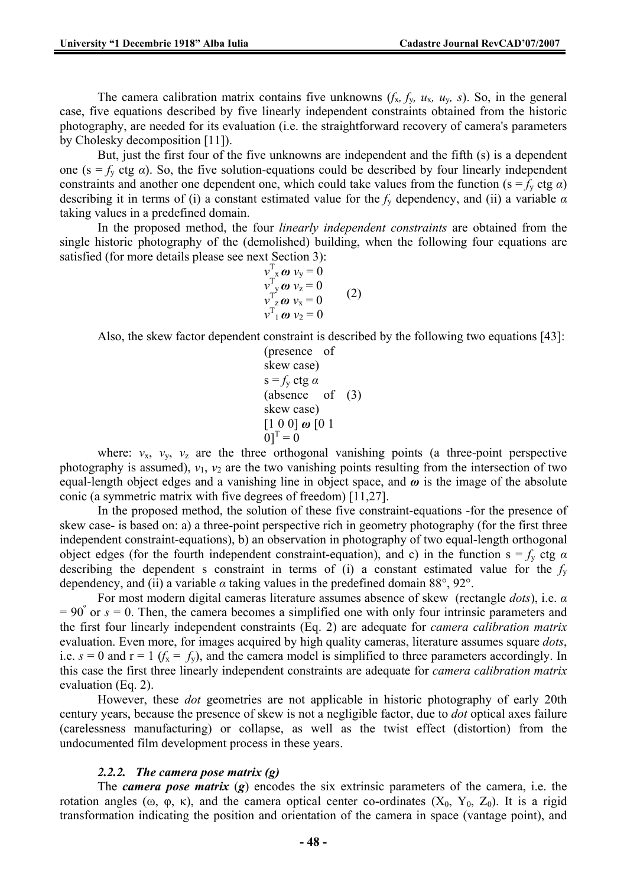The camera calibration matrix contains five unknowns  $(f_x, f_y, u_x, u_y, s)$ . So, in the general case, five equations described by five linearly independent constraints obtained from the historic photography, are needed for its evaluation (i.e. the straightforward recovery of camera's parameters by Cholesky decomposition [11]).

But, just the first four of the five unknowns are independent and the fifth (s) is a dependent one ( $s = f_y$  ctg  $\alpha$ ). So, the five solution-equations could be described by four linearly independent constraints and another one dependent one, which could take values from the function ( $s = f_y$  ctg  $\alpha$ ) describing it in terms of (i) a constant estimated value for the *f*y dependency, and (ii) a variable *α* taking values in a predefined domain.

In the proposed method, the four *linearly independent constraints* are obtained from the single historic photography of the (demolished) building, when the following four equations are satisfied (for more details please see next Section 3):

$$
v^{T}_{x} \omega v_{y} = 0
$$
  
\n
$$
v^{T}_{y} \omega v_{z} = 0
$$
  
\n
$$
v^{T}_{z} \omega v_{x} = 0
$$
  
\n
$$
v^{T}_{1} \omega v_{2} = 0
$$
\n(2)

Also, the skew factor dependent constraint is described by the following two equations [43]:

(presence of skew case)  $s = f_v \ctg a$ (absence of (3) skew case) [1 0 0] *ω* [0 1  $[0]^{T} = 0$ 

where:  $v_x$ ,  $v_y$ ,  $v_z$  are the three orthogonal vanishing points (a three-point perspective photography is assumed),  $v_1$ ,  $v_2$  are the two vanishing points resulting from the intersection of two equal-length object edges and a vanishing line in object space, and *ω* is the image of the absolute conic (a symmetric matrix with five degrees of freedom) [11,27].

In the proposed method, the solution of these five constraint-equations -for the presence of skew case- is based on: a) a three-point perspective rich in geometry photography (for the first three independent constraint-equations), b) an observation in photography of two equal-length orthogonal object edges (for the fourth independent constraint-equation), and c) in the function  $s = f_y$  ctg  $\alpha$ describing the dependent s constraint in terms of (i) a constant estimated value for the  $f<sub>y</sub>$ dependency, and (ii) a variable  $\alpha$  taking values in the predefined domain 88°, 92°.

For most modern digital cameras literature assumes absence of skew (rectangle *dots*), i.e. *α*  $= 90°$  or  $s = 0$ . Then, the camera becomes a simplified one with only four intrinsic parameters and the first four linearly independent constraints (Eq. 2) are adequate for *camera calibration matrix* evaluation. Even more, for images acquired by high quality cameras, literature assumes square *dots*, i.e.  $s = 0$  and  $r = 1$  ( $f_x = f_y$ ), and the camera model is simplified to three parameters accordingly. In this case the first three linearly independent constraints are adequate for *camera calibration matrix* evaluation (Eq. 2).

However, these *dot* geometries are not applicable in historic photography of early 20th century years, because the presence of skew is not a negligible factor, due to *dot* optical axes failure (carelessness manufacturing) or collapse, as well as the twist effect (distortion) from the undocumented film development process in these years.

#### *2.2.2. The camera pose matrix (g)*

The *camera pose matrix* (*g*) encodes the six extrinsic parameters of the camera, i.e. the rotation angles (ω, φ, κ), and the camera optical center co-ordinates  $(X_0, Y_0, Z_0)$ . It is a rigid transformation indicating the position and orientation of the camera in space (vantage point), and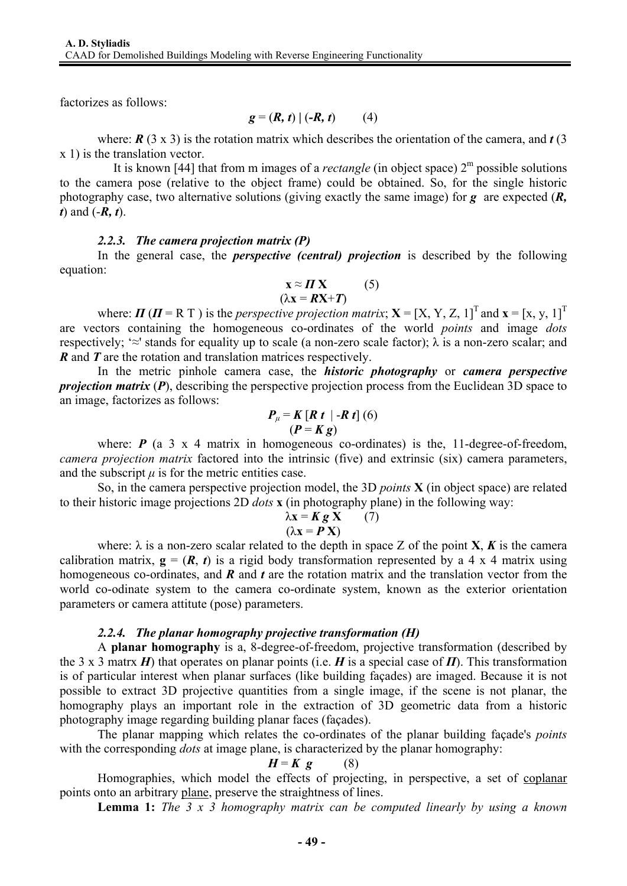factorizes as follows:

$$
g = (R, t) | (-R, t)
$$
 (4)

where:  $\mathbf{R}$  (3 x 3) is the rotation matrix which describes the orientation of the camera, and  $t$  (3) x 1) is the translation vector.

It is known [44] that from m images of a *rectangle* (in object space)  $2^m$  possible solutions to the camera pose (relative to the object frame) could be obtained. So, for the single historic photography case, two alternative solutions (giving exactly the same image) for *g* are expected (*R, t*) and (-*R, t*).

#### *2.2.3. The camera projection matrix (P)*

In the general case, the *perspective (central) projection* is described by the following equation:

$$
\mathbf{x} \approx \boldsymbol{\Pi} \mathbf{X} \qquad (5)
$$

$$
(\lambda \mathbf{x} = \boldsymbol{R} \mathbf{X} + \boldsymbol{T})
$$

where:  $\mathbf{\Pi}(\mathbf{\Pi} = \mathbf{R} \mathbf{T})$  is the *perspective projection matrix*;  $\mathbf{X} = [X, Y, Z, 1]^T$  and  $\mathbf{x} = [x, y, 1]^T$ are vectors containing the homogeneous co-ordinates of the world *points* and image *dots* respectively; ' $\approx$ ' stands for equality up to scale (a non-zero scale factor);  $\lambda$  is a non-zero scalar; and *R* and *T* are the rotation and translation matrices respectively.

In the metric pinhole camera case, the *historic photography* or *camera perspective projection matrix* (P), describing the perspective projection process from the Euclidean 3D space to an image, factorizes as follows:

$$
P_{\mu} = K [R t | -R t] (6)
$$
  

$$
(P = K g)
$$

where:  $P$  (a 3 x 4 matrix in homogeneous co-ordinates) is the, 11-degree-of-freedom, *camera projection matrix* factored into the intrinsic (five) and extrinsic (six) camera parameters, and the subscript  $\mu$  is for the metric entities case.

So, in the camera perspective projection model, the 3D *points* **X** (in object space) are related to their historic image projections 2D *dots* **x** (in photography plane) in the following way:

$$
\lambda \mathbf{x} = K \mathbf{g} \mathbf{X} \tag{7}
$$
\n
$$
(\lambda \mathbf{x} = P \mathbf{X})
$$

where:  $\lambda$  is a non-zero scalar related to the depth in space Z of the point **X**, K is the camera calibration matrix,  $g = (R, t)$  is a rigid body transformation represented by a 4 x 4 matrix using homogeneous co-ordinates, and *R* and *t* are the rotation matrix and the translation vector from the world co-odinate system to the camera co-ordinate system, known as the exterior orientation parameters or camera attitute (pose) parameters.

#### *2.2.4. The planar homography projective transformation (H)*

A **planar homography** is a, 8-degree-of-freedom, projective transformation (described by the 3 x 3 matrx *H*) that operates on planar points (i.e. *H* is a special case of *Π*). This transformation is of particular interest when planar surfaces (like building façades) are imaged. Because it is not possible to extract 3D projective quantities from a single image, if the scene is not planar, the homography plays an important role in the extraction of 3D geometric data from a historic photography image regarding building planar faces (façades).

The planar mapping which relates the co-ordinates of the planar building façade's *points* with the corresponding *dots* at image plane, is characterized by the planar homography:

$$
H = K g \qquad (8)
$$

Homographies, which model the effects of projecting, in perspective, a set of coplanar points onto an arbitrary plane, preserve the straightness of lines.

**Lemma 1:** *The 3 x 3 homography matrix can be computed linearly by using a known*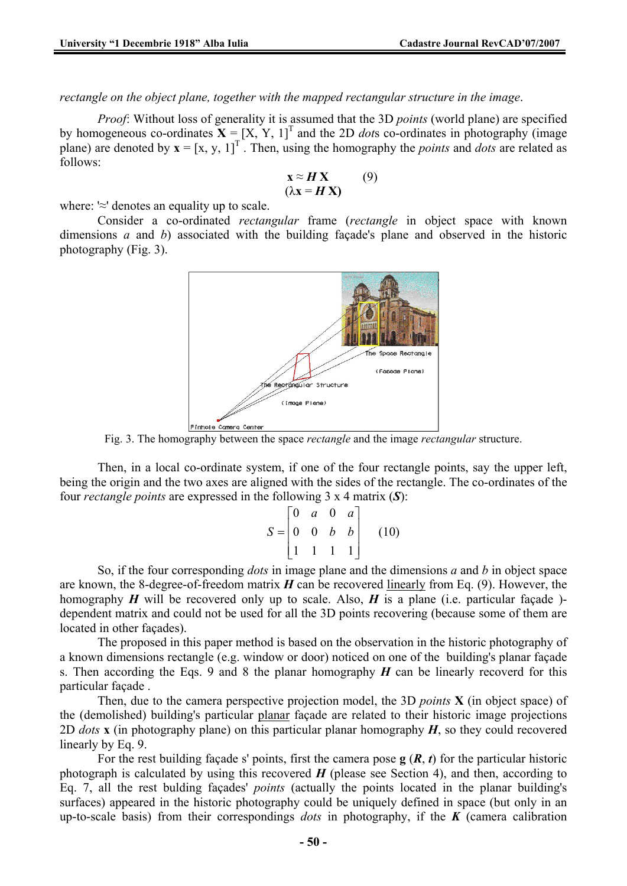#### *rectangle on the object plane, together with the mapped rectangular structure in the image*.

*Proof*: Without loss of generality it is assumed that the 3D *points* (world plane) are specified by homogeneous co-ordinates  $\mathbf{X} = [X, Y, 1]^T$  and the 2D *dots* co-ordinates in photography (image plane) are denoted by  $\mathbf{x} = [x, y, 1]^T$ . Then, using the homography the *points* and *dots* are related as follows:

$$
\mathbf{x} \approx \mathbf{H} \mathbf{X} \tag{9}
$$
  

$$
(\lambda \mathbf{x} = \mathbf{H} \mathbf{X})
$$

where:  $\approx$ ' denotes an equality up to scale.

Consider a co-ordinated *rectangular* frame (*rectangle* in object space with known dimensions *a* and *b*) associated with the building façade's plane and observed in the historic photography (Fig. 3).



Fig. 3. The homography between the space *rectangle* and the image *rectangular* structure.

Then, in a local co-ordinate system, if one of the four rectangle points, say the upper left, being the origin and the two axes are aligned with the sides of the rectangle. The co-ordinates of the four *rectangle points* are expressed in the following 3 x 4 matrix (*S*):

$$
S = \begin{bmatrix} 0 & a & 0 & a \\ 0 & 0 & b & b \\ 1 & 1 & 1 & 1 \end{bmatrix}
$$
 (10)

So, if the four corresponding *dots* in image plane and the dimensions *a* and *b* in object space are known, the 8-degree-of-freedom matrix *H* can be recovered linearly from Eq. (9). However, the homography  $H$  will be recovered only up to scale. Also,  $H$  is a plane (i.e. particular façade) dependent matrix and could not be used for all the 3D points recovering (because some of them are located in other facades).

The proposed in this paper method is based on the observation in the historic photography of a known dimensions rectangle (e.g. window or door) noticed on one of the building's planar façade s. Then according the Eqs. 9 and 8 the planar homography  $H$  can be linearly recoverd for this particular façade .

Then, due to the camera perspective projection model, the 3D *points* **X** (in object space) of the (demolished) building's particular planar façade are related to their historic image projections 2D *dots* **x** (in photography plane) on this particular planar homography *H*, so they could recovered linearly by Eq. 9.

For the rest building façade s' points, first the camera pose **g** (*R*, *t*) for the particular historic photograph is calculated by using this recovered  $H$  (please see Section 4), and then, according to Eq. 7, all the rest bulding façades' *points* (actually the points located in the planar building's surfaces) appeared in the historic photography could be uniquely defined in space (but only in an up-to-scale basis) from their correspondings *dots* in photography, if the *K* (camera calibration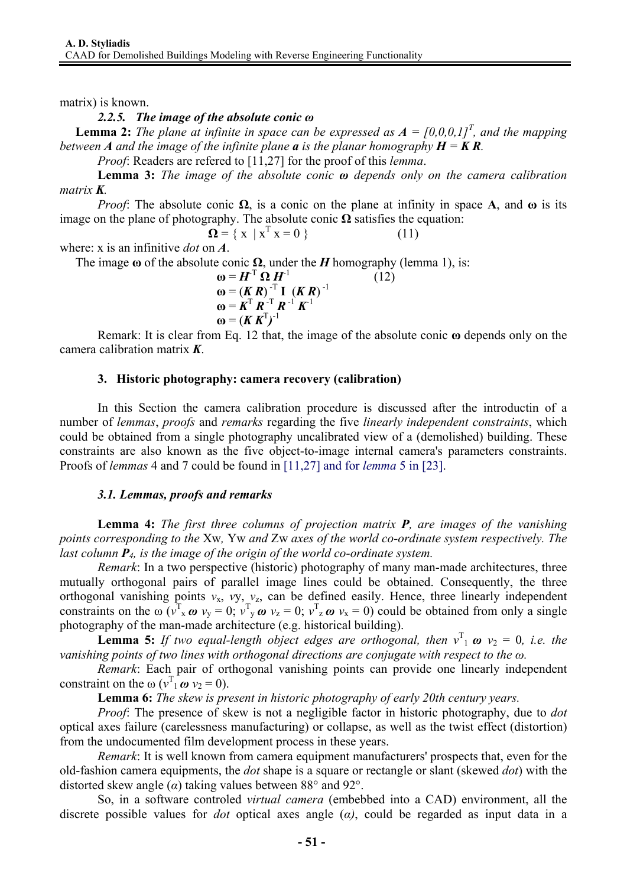matrix) is known.

*2.2.5. The image of the absolute conic ω*

**Lemma 2:** *The plane at infinite in space can be expressed as*  $A = [0,0,0,1]^T$ *, and the mapping between A and the image of the infinite plane <i>a* is the planar homography  $H = K R$ .

*Proof*: Readers are refered to [11,27] for the proof of this *lemma*.

**Lemma 3:** *The image of the absolute conic ω depends only on the camera calibration matrix K.*

*Proof*: The absolute conic **Ω**, is a conic on the plane at infinity in space **A**, and **ω** is its image on the plane of photography. The absolute conic **Ω** satisfies the equation:

$$
\Omega = \{ \mathbf{x} \mid \mathbf{x}^{\mathrm{T}} \mathbf{x} = 0 \}
$$
 (11)

where: x is an infinitive *dot* on *A*.

The image  $\omega$  of the absolute conic  $\Omega$ , under the *H* homography (lemma 1), is:

$$
\begin{array}{ll}\n\mathbf{\omega} = \boldsymbol{H}^{\mathrm{T}} \boldsymbol{\Omega} \boldsymbol{H}^1 & (12) \\
\mathbf{\omega} = (\boldsymbol{K} \boldsymbol{R})^{-\mathrm{T}} \mathbf{I} (\boldsymbol{K} \boldsymbol{R})^{-1} \\
\mathbf{\omega} = \boldsymbol{K}^{\mathrm{T}} \boldsymbol{R}^{-\mathrm{T}} \boldsymbol{R}^{-1} \boldsymbol{K}^{-1} \\
\mathbf{\omega} = (\boldsymbol{K} \boldsymbol{K}^{\mathrm{T}})^{-1}\n\end{array}
$$

Remark: It is clear from Eq. 12 that, the image of the absolute conic **ω** depends only on the camera calibration matrix *K*.

#### **3. Historic photography: camera recovery (calibration)**

In this Section the camera calibration procedure is discussed after the introductin of a number of *lemmas*, *proofs* and *remarks* regarding the five *linearly independent constraints*, which could be obtained from a single photography uncalibrated view of a (demolished) building. These constraints are also known as the five object-to-image internal camera's parameters constraints. Proofs of *lemmas* 4 and 7 could be found in [11,27] and for *lemma* 5 in [23].

#### *3.1. Lemmas, proofs and remarks*

**Lemma 4:** *The first three columns of projection matrix P, are images of the vanishing points corresponding to the* Xw*,* Yw *and* Zw *axes of the world co-ordinate system respectively. The last column P4, is the image of the origin of the world co-ordinate system.* 

*Remark*: In a two perspective (historic) photography of many man-made architectures, three mutually orthogonal pairs of parallel image lines could be obtained. Consequently, the three orthogonal vanishing points  $v_x$ ,  $vy_y$ ,  $v_z$ , can be defined easily. Hence, three linearly independent constraints on the  $\omega (v_{x}^{T} \omega v_{y} = 0; v_{y}^{T} \omega v_{z} = 0; v_{z}^{T} \omega v_{x} = 0)$  could be obtained from only a single photography of the man-made architecture (e.g. historical building).

**Lemma 5:** If two equal-length object edges are orthogonal, then  $v_1^T$   $\omega$   $v_2 = 0$ , i.e. the *vanishing points of two lines with orthogonal directions are conjugate with respect to the ω.*

*Remark*: Each pair of orthogonal vanishing points can provide one linearly independent constraint on the  $\omega (v_{1}^{\mathsf{T}} \omega v_{2} = 0)$ .

**Lemma 6:** *The skew is present in historic photography of early 20th century years.*

*Proof*: The presence of skew is not a negligible factor in historic photography, due to *dot* optical axes failure (carelessness manufacturing) or collapse, as well as the twist effect (distortion) from the undocumented film development process in these years.

*Remark*: It is well known from camera equipment manufacturers' prospects that, even for the old-fashion camera equipments, the *dot* shape is a square or rectangle or slant (skewed *dot*) with the distorted skew angle ( $\alpha$ ) taking values between 88° and 92°.

So, in a software controled *virtual camera* (embebbed into a CAD) environment, all the discrete possible values for *dot* optical axes angle (*α)*, could be regarded as input data in a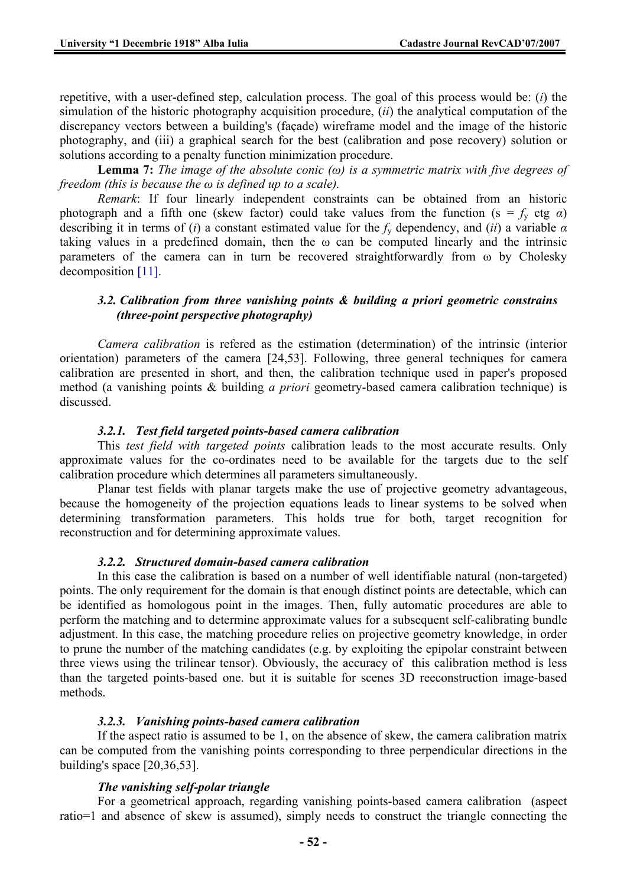repetitive, with a user-defined step, calculation process. The goal of this process would be: (*i*) the simulation of the historic photography acquisition procedure, (*ii*) the analytical computation of the discrepancy vectors between a building's (façade) wireframe model and the image of the historic photography, and (iii) a graphical search for the best (calibration and pose recovery) solution or solutions according to a penalty function minimization procedure.

**Lemma 7:** *The image of the absolute conic (ω) is a symmetric matrix with five degrees of freedom (this is because the ω is defined up to a scale).*

*Remark*: If four linearly independent constraints can be obtained from an historic photograph and a fifth one (skew factor) could take values from the function ( $s = f_y$  ctg *α*) describing it in terms of (*i*) a constant estimated value for the  $f<sub>y</sub>$  dependency, and (*ii*) a variable  $\alpha$ taking values in a predefined domain, then the  $\omega$  can be computed linearly and the intrinsic parameters of the camera can in turn be recovered straightforwardly from ω by Cholesky decomposition [11].

### *3.2. Calibration from three vanishing points & building a priori geometric constrains (three-point perspective photography)*

*Camera calibration* is refered as the estimation (determination) of the intrinsic (interior orientation) parameters of the camera [24,53]. Following, three general techniques for camera calibration are presented in short, and then, the calibration technique used in paper's proposed method (a vanishing points & building *a priori* geometry-based camera calibration technique) is discussed.

### *3.2.1. Test field targeted points-based camera calibration*

This *test field with targeted points* calibration leads to the most accurate results. Only approximate values for the co-ordinates need to be available for the targets due to the self calibration procedure which determines all parameters simultaneously.

Planar test fields with planar targets make the use of projective geometry advantageous, because the homogeneity of the projection equations leads to linear systems to be solved when determining transformation parameters. This holds true for both, target recognition for reconstruction and for determining approximate values.

#### *3.2.2. Structured domain-based camera calibration*

In this case the calibration is based on a number of well identifiable natural (non-targeted) points. The only requirement for the domain is that enough distinct points are detectable, which can be identified as homologous point in the images. Then, fully automatic procedures are able to perform the matching and to determine approximate values for a subsequent self-calibrating bundle adjustment. In this case, the matching procedure relies on projective geometry knowledge, in order to prune the number of the matching candidates (e.g. by exploiting the epipolar constraint between three views using the trilinear tensor). Obviously, the accuracy of this calibration method is less than the targeted points-based one. but it is suitable for scenes 3D reeconstruction image-based methods.

#### *3.2.3. Vanishing points-based camera calibration*

If the aspect ratio is assumed to be 1, on the absence of skew, the camera calibration matrix can be computed from the vanishing points corresponding to three perpendicular directions in the building's space [20,36,53].

#### *The vanishing self-polar triangle*

For a geometrical approach, regarding vanishing points-based camera calibration (aspect ratio=1 and absence of skew is assumed), simply needs to construct the triangle connecting the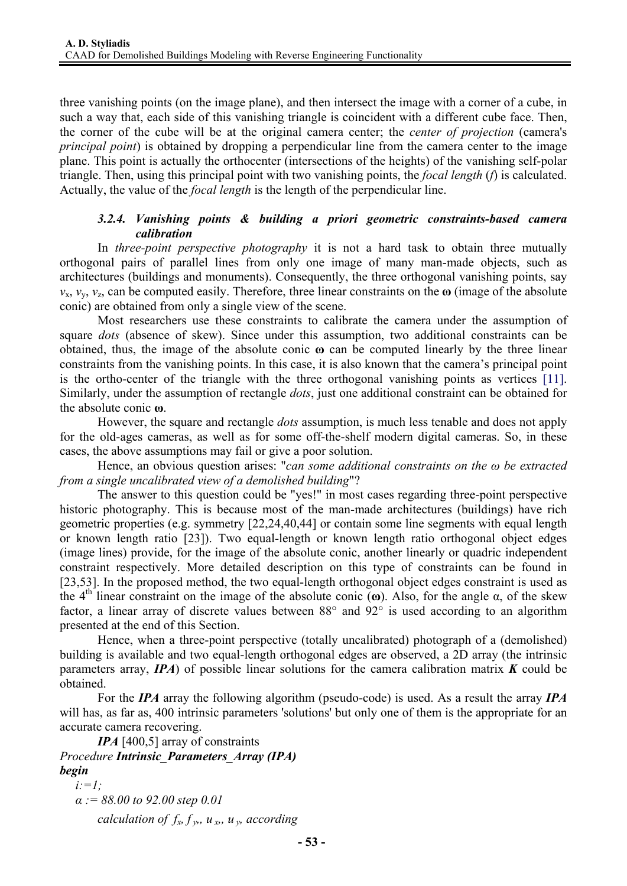three vanishing points (on the image plane), and then intersect the image with a corner of a cube, in such a way that, each side of this vanishing triangle is coincident with a different cube face. Then, the corner of the cube will be at the original camera center; the *center of projection* (camera's *principal point*) is obtained by dropping a perpendicular line from the camera center to the image plane. This point is actually the orthocenter (intersections of the heights) of the vanishing self-polar triangle. Then, using this principal point with two vanishing points, the *focal length* (*f*) is calculated. Actually, the value of the *focal length* is the length of the perpendicular line.

#### *3.2.4. Vanishing points & building a priori geometric constraints-based camera calibration*

In *three-point perspective photography* it is not a hard task to obtain three mutually orthogonal pairs of parallel lines from only one image of many man-made objects, such as architectures (buildings and monuments). Consequently, the three orthogonal vanishing points, say *v*x, *v*y, *v*z, can be computed easily. Therefore, three linear constraints on the **ω** (image of the absolute conic) are obtained from only a single view of the scene.

Most researchers use these constraints to calibrate the camera under the assumption of square *dots* (absence of skew). Since under this assumption, two additional constraints can be obtained, thus, the image of the absolute conic **ω** can be computed linearly by the three linear constraints from the vanishing points. In this case, it is also known that the camera's principal point is the ortho-center of the triangle with the three orthogonal vanishing points as vertices [11]. Similarly, under the assumption of rectangle *dots*, just one additional constraint can be obtained for the absolute conic **ω**.

However, the square and rectangle *dots* assumption, is much less tenable and does not apply for the old-ages cameras, as well as for some off-the-shelf modern digital cameras. So, in these cases, the above assumptions may fail or give a poor solution.

Hence, an obvious question arises: "*can some additional constraints on the ω be extracted from a single uncalibrated view of a demolished building*"?

The answer to this question could be "yes!" in most cases regarding three-point perspective historic photography. This is because most of the man-made architectures (buildings) have rich geometric properties (e.g. symmetry [22,24,40,44] or contain some line segments with equal length or known length ratio [23]). Two equal-length or known length ratio orthogonal object edges (image lines) provide, for the image of the absolute conic, another linearly or quadric independent constraint respectively. More detailed description on this type of constraints can be found in [23,53]. In the proposed method, the two equal-length orthogonal object edges constraint is used as the 4th linear constraint on the image of the absolute conic (**ω**). Also, for the angle α, of the skew factor, a linear array of discrete values between 88° and 92° is used according to an algorithm presented at the end of this Section.

Hence, when a three-point perspective (totally uncalibrated) photograph of a (demolished) building is available and two equal-length orthogonal edges are observed, a 2D array (the intrinsic parameters array, *IPA*) of possible linear solutions for the camera calibration matrix *K* could be obtained.

For the *IPA* array the following algorithm (pseudo-code) is used. As a result the array *IPA* will has, as far as, 400 intrinsic parameters 'solutions' but only one of them is the appropriate for an accurate camera recovering.

*IPA* [400,5] array of constraints *Procedure Intrinsic\_Parameters\_Array (IPA) begin i:=1;* 

 *α := 88.00 to 92.00 step 0.01 calculation of fx, f y,, u x,, u y, according*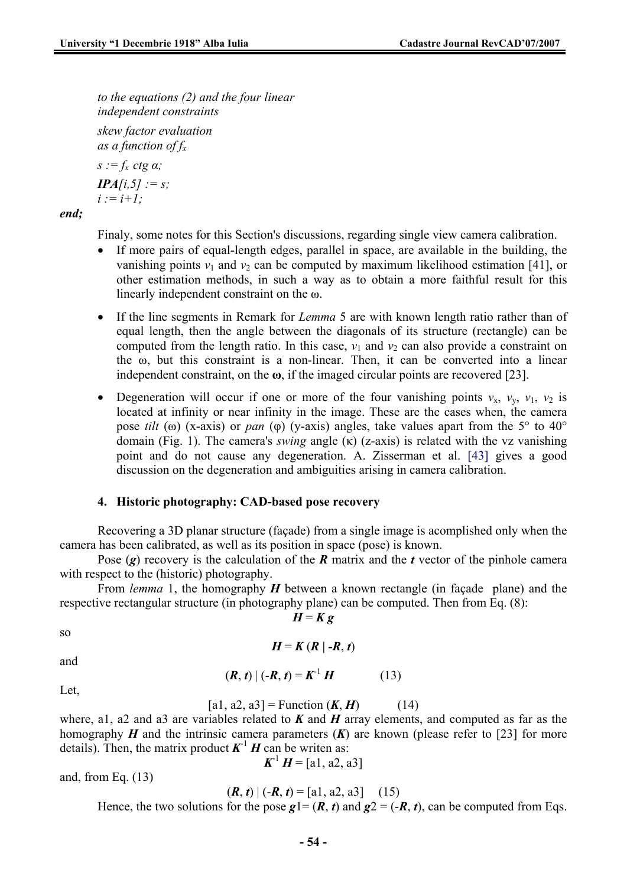*to the equations (2) and the four linear independent constraints skew factor evaluation as a function of fx s := fx ctg α; IPA* $[i, 5] := s$ ;

*end;* 

 $i := i + 1$ :

Finaly, some notes for this Section's discussions, regarding single view camera calibration.

- If more pairs of equal-length edges, parallel in space, are available in the building, the vanishing points  $v_1$  and  $v_2$  can be computed by maximum likelihood estimation [41], or other estimation methods, in such a way as to obtain a more faithful result for this linearly independent constraint on the ω.
- If the line segments in Remark for *Lemma* 5 are with known length ratio rather than of equal length, then the angle between the diagonals of its structure (rectangle) can be computed from the length ratio. In this case,  $v_1$  and  $v_2$  can also provide a constraint on the  $\omega$ , but this constraint is a non-linear. Then, it can be converted into a linear independent constraint, on the **ω**, if the imaged circular points are recovered [23].
- Degeneration will occur if one or more of the four vanishing points  $v_x$ ,  $v_y$ ,  $v_1$ ,  $v_2$  is located at infinity or near infinity in the image. These are the cases when, the camera pose *tilt* (ω) (x-axis) or *pan* (φ) (y-axis) angles, take values apart from the 5° to 40° domain (Fig. 1). The camera's *swing* angle (κ) (z-axis) is related with the vz vanishing point and do not cause any degeneration. Α. Zisserman et al. [43] gives a good discussion on the degeneration and ambiguities arising in camera calibration.

#### **4. Historic photography: CAD-based pose recovery**

Recovering a 3D planar structure (façade) from a single image is acomplished only when the camera has been calibrated, as well as its position in space (pose) is known.

Pose (*g*) recovery is the calculation of the *R* matrix and the *t* vector of the pinhole camera with respect to the (historic) photography.

From *lemma* 1, the homography *H* between a known rectangle (in façade plane) and the respective rectangular structure (in photography plane) can be computed. Then from Eq. (8):

$$
H = K g
$$

so

$$
H = K (R \mid -R, t)
$$

and

$$
\quad \text{Let,}
$$

$$
(R, t) | (-R, t) = K1 H
$$
 (13)

$$
[a1, a2, a3]
$$
 = Function (*K*, *H*) (14)

where, a1, a2 and a3 are variables related to **K** and **H** array elements, and computed as far as the homography *H* and the intrinsic camera parameters  $(K)$  are known (please refer to [23] for more details). Then, the matrix product  $K<sup>1</sup>H$  can be writen as:

$$
\boldsymbol{K}^1 \boldsymbol{H} = [\text{a1}, \text{a2}, \text{a3}]
$$

and, from Eq. (13)

$$
(R, t) | (-R, t) = [a1, a2, a3]
$$
 (15)

Hence, the two solutions for the pose  $g1 = (R, t)$  and  $g2 = (-R, t)$ , can be computed from Eqs.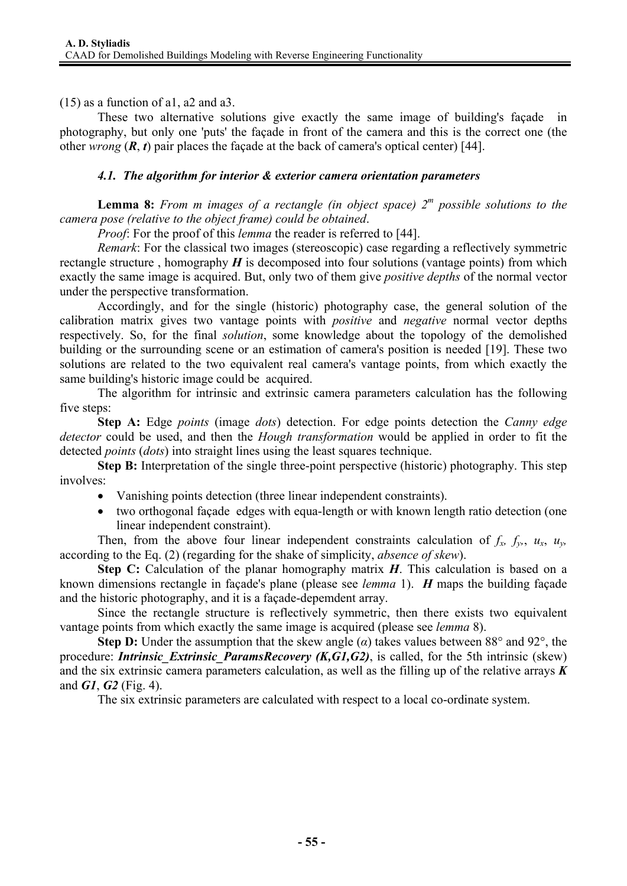(15) as a function of a1, a2 and a3.

These two alternative solutions give exactly the same image of building's façade in photography, but only one 'puts' the façade in front of the camera and this is the correct one (the other *wrong* (*R*, *t*) pair places the façade at the back of camera's optical center) [44].

### *4.1. The algorithm for interior & exterior camera orientation parameters*

**Lemma 8:** *From m images of a rectangle (in object space) 2m possible solutions to the camera pose (relative to the object frame) could be obtained*.

*Proof*: For the proof of this *lemma* the reader is referred to [44].

*Remark*: For the classical two images (stereoscopic) case regarding a reflectively symmetric rectangle structure, homography  $H$  is decomposed into four solutions (vantage points) from which exactly the same image is acquired. But, only two of them give *positive depths* of the normal vector under the perspective transformation.

Accordingly, and for the single (historic) photography case, the general solution of the calibration matrix gives two vantage points with *positive* and *negative* normal vector depths respectively. So, for the final *solution*, some knowledge about the topology of the demolished building or the surrounding scene or an estimation of camera's position is needed [19]. These two solutions are related to the two equivalent real camera's vantage points, from which exactly the same building's historic image could be acquired.

The algorithm for intrinsic and extrinsic camera parameters calculation has the following five steps:

**Step A:** Edge *points* (image *dots*) detection. For edge points detection the *Canny edge detector* could be used, and then the *Hough transformation* would be applied in order to fit the detected *points* (*dots*) into straight lines using the least squares technique.

**Step B:** Interpretation of the single three-point perspective (historic) photography. This step involves:

- Vanishing points detection (three linear independent constraints).
- two orthogonal facade edges with equa-length or with known length ratio detection (one linear independent constraint).

Then, from the above four linear independent constraints calculation of  $f_x$ ,  $f_y$ ,  $u_x$ ,  $u_y$ , according to the Eq. (2) (regarding for the shake of simplicity, *absence of skew*).

**Step C:** Calculation of the planar homography matrix *H*. This calculation is based on a known dimensions rectangle in façade's plane (please see *lemma* 1). *H* maps the building façade and the historic photography, and it is a façade-depemdent array.

Since the rectangle structure is reflectively symmetric, then there exists two equivalent vantage points from which exactly the same image is acquired (please see *lemma* 8).

**Step D:** Under the assumption that the skew angle (*α*) takes values between 88° and 92°, the procedure: *Intrinsic Extrinsic ParamsRecovery (K,G1,G2)*, is called, for the 5th intrinsic (skew) and the six extrinsic camera parameters calculation, as well as the filling up of the relative arrays *K* and *G1*, *G2* (Fig. 4).

The six extrinsic parameters are calculated with respect to a local co-ordinate system.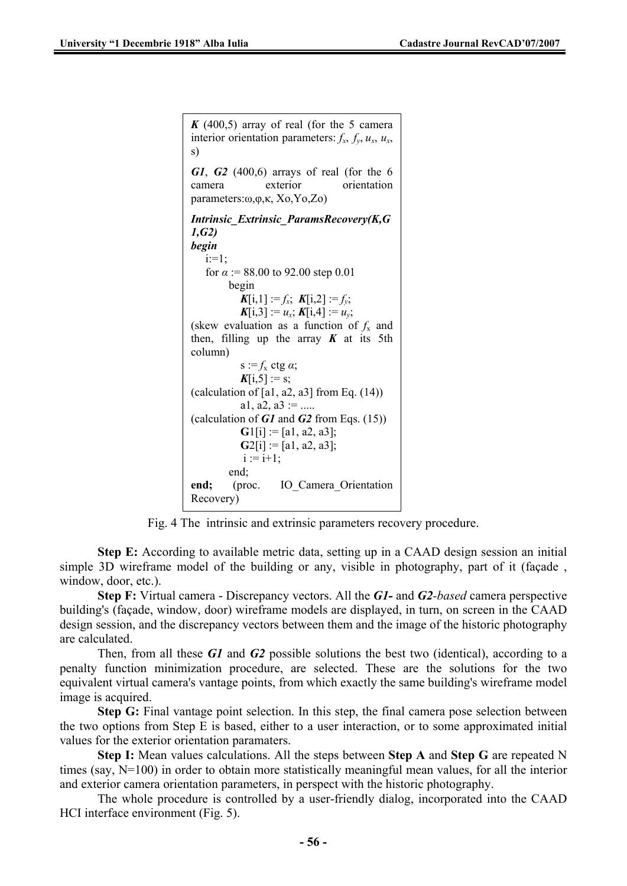```
K(400,5) array of real (for the 5 camera
interior orientation parameters: f_x, f_y, u_x, u_x,
s) 
G1, G2 (400,6) arrays of real (for the 6
camera exterior orientation
parameters:ω,φ,κ, Xo,Yo,Zo) 
Intrinsic_Extrinsic_ParamsRecovery(K,G
1,G2) 
begin 
   i:=1;
   for \alpha := 88.00 to 92.00 step 0.01
        begin 
           K[i,1] := f_x; K[i,2] := f_y;K[i,3] := u_x; K[i,4] := u_y;
(skew evaluation as a function of f<sub>x</sub> and
then, filling up the array K at its 5th
column) 
           s := f_x \text{ ctg } \alpha;K[i,5] := s;(calculation of [a1, a2, a3] from Eq. (14))
           a1, a2, a3 := .....
(calculation of G1 and G2 from Eqs. (15)) 
           G1[i] := [a1, a2, a3];
           G2[i] := [a1, a2, a3];
           i := i+1;
        end; 
end; (proc. IO Camera Orientation
Recovery)
```
Fig. 4 The intrinsic and extrinsic parameters recovery procedure.

**Step E:** According to available metric data, setting up in a CAAD design session an initial simple 3D wireframe model of the building or any, visible in photography, part of it (façade , window, door, etc.).

**Step F:** Virtual camera - Discrepancy vectors. All the *G1-* and *G2-based* camera perspective building's (façade, window, door) wireframe models are displayed, in turn, on screen in the CAAD design session, and the discrepancy vectors between them and the image of the historic photography are calculated.

Then, from all these *G1* and *G2* possible solutions the best two (identical), according to a penalty function minimization procedure, are selected. These are the solutions for the two equivalent virtual camera's vantage points, from which exactly the same building's wireframe model image is acquired.

**Step G:** Final vantage point selection. In this step, the final camera pose selection between the two options from Step E is based, either to a user interaction, or to some approximated initial values for the exterior orientation paramaters.

**Step I:** Mean values calculations. All the steps between **Step A** and **Step G** are repeated N times (say, N=100) in order to obtain more statistically meaningful mean values, for all the interior and exterior camera orientation parameters, in perspect with the historic photography.

The whole procedure is controlled by a user-friendly dialog, incorporated into the CAAD HCI interface environment (Fig. 5).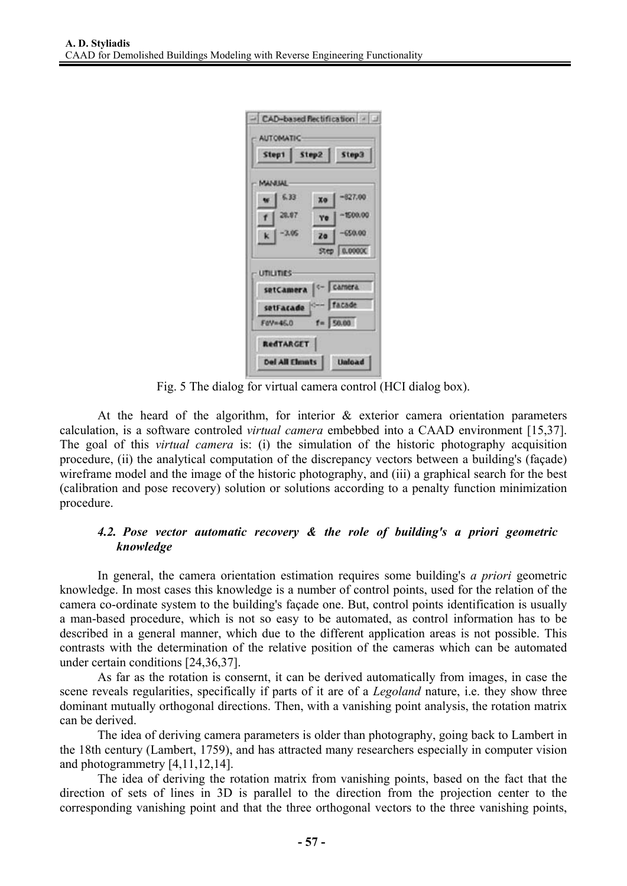| Step1 Step2 Step3     |     |              |
|-----------------------|-----|--------------|
| <b>MANUAL</b>         |     |              |
| 6,33<br>W.            | Xo  | $-827.00$    |
| 28.97<br>۴.           | Ye. | $-1500.00$   |
| $-3.05$<br>ĸ          | Zo  | $-650.00$    |
|                       |     | Step 0.00000 |
| UTILITIES-            |     |              |
| setCamera <-   camera |     |              |
| setFacade - facade    |     |              |
| FdV=45.0              |     | $f = 50.00$  |
|                       |     |              |

Fig. 5 The dialog for virtual camera control (HCI dialog box).

At the heard of the algorithm, for interior  $\&$  exterior camera orientation parameters calculation, is a software controled *virtual camera* embebbed into a CAAD environment [15,37]. The goal of this *virtual camera* is: (i) the simulation of the historic photography acquisition procedure, (ii) the analytical computation of the discrepancy vectors between a building's (façade) wireframe model and the image of the historic photography, and (iii) a graphical search for the best (calibration and pose recovery) solution or solutions according to a penalty function minimization procedure.

### *4.2. Pose vector automatic recovery & the role of building's a priori geometric knowledge*

In general, the camera orientation estimation requires some building's *a priori* geometric knowledge. In most cases this knowledge is a number of control points, used for the relation of the camera co-ordinate system to the building's façade one. But, control points identification is usually a man-based procedure, which is not so easy to be automated, as control information has to be described in a general manner, which due to the different application areas is not possible. This contrasts with the determination of the relative position of the cameras which can be automated under certain conditions [24,36,37].

As far as the rotation is consernt, it can be derived automatically from images, in case the scene reveals regularities, specifically if parts of it are of a *Legoland* nature, i.e. they show three dominant mutually orthogonal directions. Then, with a vanishing point analysis, the rotation matrix can be derived.

The idea of deriving camera parameters is older than photography, going back to Lambert in the 18th century (Lambert, 1759), and has attracted many researchers especially in computer vision and photogrammetry [4,11,12,14].

The idea of deriving the rotation matrix from vanishing points, based on the fact that the direction of sets of lines in 3D is parallel to the direction from the projection center to the corresponding vanishing point and that the three orthogonal vectors to the three vanishing points,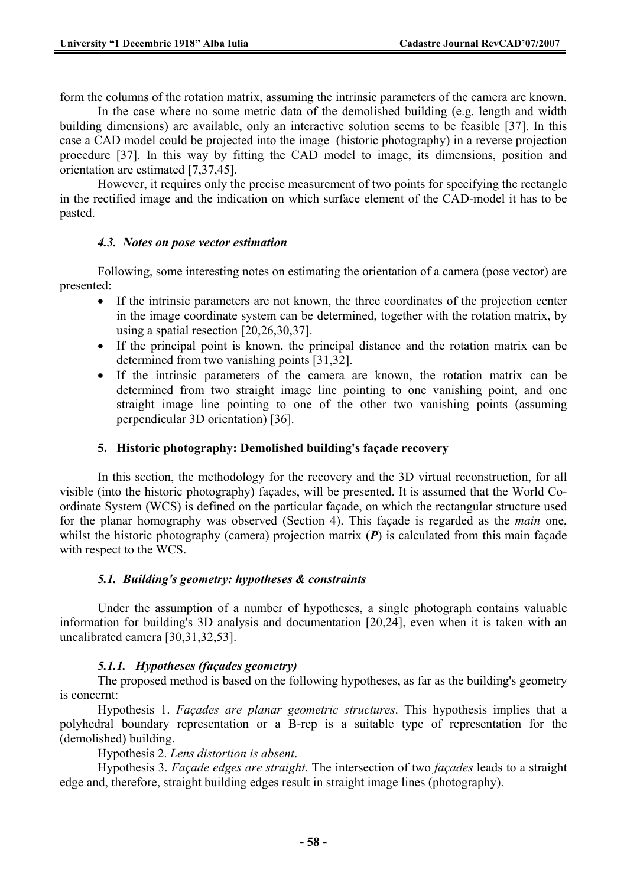form the columns of the rotation matrix, assuming the intrinsic parameters of the camera are known.

In the case where no some metric data of the demolished building (e.g. length and width building dimensions) are available, only an interactive solution seems to be feasible [37]. In this case a CAD model could be projected into the image (historic photography) in a reverse projection procedure [37]. In this way by fitting the CAD model to image, its dimensions, position and orientation are estimated [7,37,45].

However, it requires only the precise measurement of two points for specifying the rectangle in the rectified image and the indication on which surface element of the CAD-model it has to be pasted.

### *4.3. Notes on pose vector estimation*

Following, some interesting notes on estimating the orientation of a camera (pose vector) are presented:

- If the intrinsic parameters are not known, the three coordinates of the projection center in the image coordinate system can be determined, together with the rotation matrix, by using a spatial resection [20,26,30,37].
- If the principal point is known, the principal distance and the rotation matrix can be determined from two vanishing points [31,32].
- If the intrinsic parameters of the camera are known, the rotation matrix can be determined from two straight image line pointing to one vanishing point, and one straight image line pointing to one of the other two vanishing points (assuming perpendicular 3D orientation) [36].

### **5. Historic photography: Demolished building's façade recovery**

In this section, the methodology for the recovery and the 3D virtual reconstruction, for all visible (into the historic photography) façades, will be presented. It is assumed that the World Coordinate System (WCS) is defined on the particular façade, on which the rectangular structure used for the planar homography was observed (Section 4). This façade is regarded as the *main* one, whilst the historic photography (camera) projection matrix (P) is calculated from this main façade with respect to the WCS.

### *5.1. Building's geometry: hypotheses & constraints*

Under the assumption of a number of hypotheses, a single photograph contains valuable information for building's 3D analysis and documentation [20,24], even when it is taken with an uncalibrated camera [30,31,32,53].

### *5.1.1. Hypotheses (façades geometry)*

The proposed method is based on the following hypotheses, as far as the building's geometry is concernt:

Hypothesis 1. *Façades are planar geometric structures*. This hypothesis implies that a polyhedral boundary representation or a B-rep is a suitable type of representation for the (demolished) building.

Hypothesis 2. *Lens distortion is absent*.

Hypothesis 3. *Façade edges are straight*. The intersection of two *façades* leads to a straight edge and, therefore, straight building edges result in straight image lines (photography).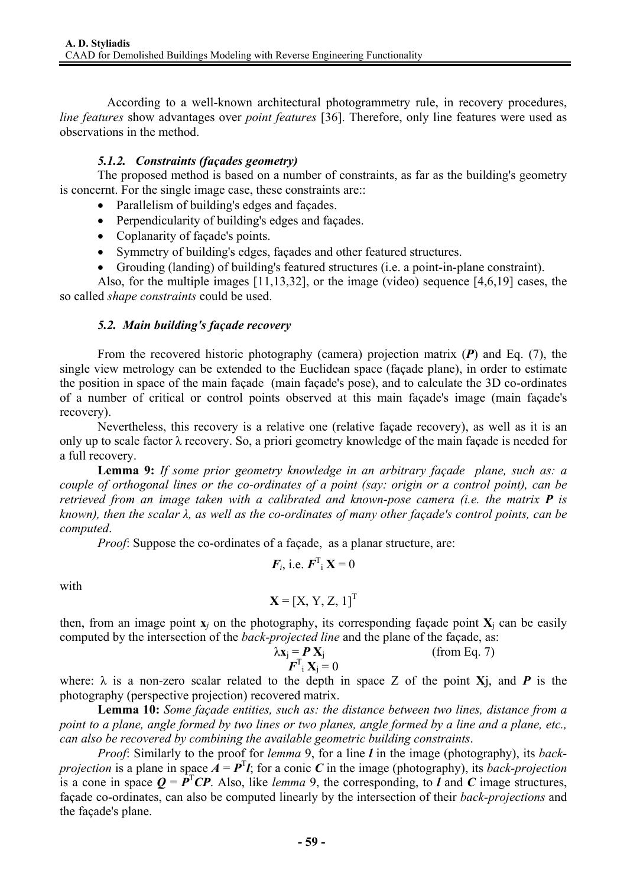According to a well-known architectural photogrammetry rule, in recovery procedures, *line features* show advantages over *point features* [36]. Therefore, only line features were used as observations in the method.

### *5.1.2. Constraints (façades geometry)*

The proposed method is based on a number of constraints, as far as the building's geometry is concernt. For the single image case, these constraints are::

- Parallelism of building's edges and façades.
- Perpendicularity of building's edges and façades.
- Coplanarity of façade's points.
- Symmetry of building's edges, façades and other featured structures.
- Grouding (landing) of building's featured structures (i.e. a point-in-plane constraint).

Also, for the multiple images [11,13,32], or the image (video) sequence [4,6,19] cases, the so called *shape constraints* could be used.

### *5.2. Main building's façade recovery*

From the recovered historic photography (camera) projection matrix (*P*) and Eq. (7), the single view metrology can be extended to the Euclidean space (façade plane), in order to estimate the position in space of the main façade (main façade's pose), and to calculate the 3D co-ordinates of a number of critical or control points observed at this main façade's image (main façade's recovery).

Nevertheless, this recovery is a relative one (relative façade recovery), as well as it is an only up to scale factor λ recovery. So, a priori geometry knowledge of the main façade is needed for a full recovery.

**Lemma 9:** *If some prior geometry knowledge in an arbitrary façade plane, such as: a couple of orthogonal lines or the co-ordinates of a point (say: origin or a control point), can be retrieved from an image taken with a calibrated and known-pose camera (i.e. the matrix P is known), then the scalar λ, as well as the co-ordinates of many other façade's control points, can be computed*.

*Proof*: Suppose the co-ordinates of a façade, as a planar structure, are:

$$
\boldsymbol{F}_i, \text{ i.e. } \boldsymbol{F}^{\mathrm{T}} \text{ i } \mathbf{X} = 0
$$

with

$$
\mathbf{X} = [X, Y, Z, 1]^T
$$

then, from an image point  $\mathbf{x}_i$  on the photography, its corresponding façade point  $\mathbf{X}_i$  can be easily computed by the intersection of the *back-projected line* and the plane of the façade, as:

$$
\lambda \mathbf{x}_j = \boldsymbol{P} \mathbf{X}_j
$$
 (from Eq. 7)  

$$
\boldsymbol{F}^{\mathrm{T}}_i \mathbf{X}_j = 0
$$

where:  $\lambda$  is a non-zero scalar related to the depth in space Z of the point **X**<sub>j</sub>, and **P** is the photography (perspective projection) recovered matrix.

**Lemma 10:** *Some façade entities, such as: the distance between two lines, distance from a point to a plane, angle formed by two lines or two planes, angle formed by a line and a plane, etc., can also be recovered by combining the available geometric building constraints*.

*Proof*: Similarly to the proof for *lemma* 9, for a line *l* in the image (photography), its *backprojection* is a plane in space  $\vec{A} = \vec{P}^T \vec{l}$ ; for a conic  $\vec{C}$  in the image (photography), its *back-projection* is a cone in space  $Q = \vec{P}^T C \vec{P}$ . Also, like *lemma* 9, the corresponding, to *l* and *C* image structures, façade co-ordinates, can also be computed linearly by the intersection of their *back-projections* and the façade's plane.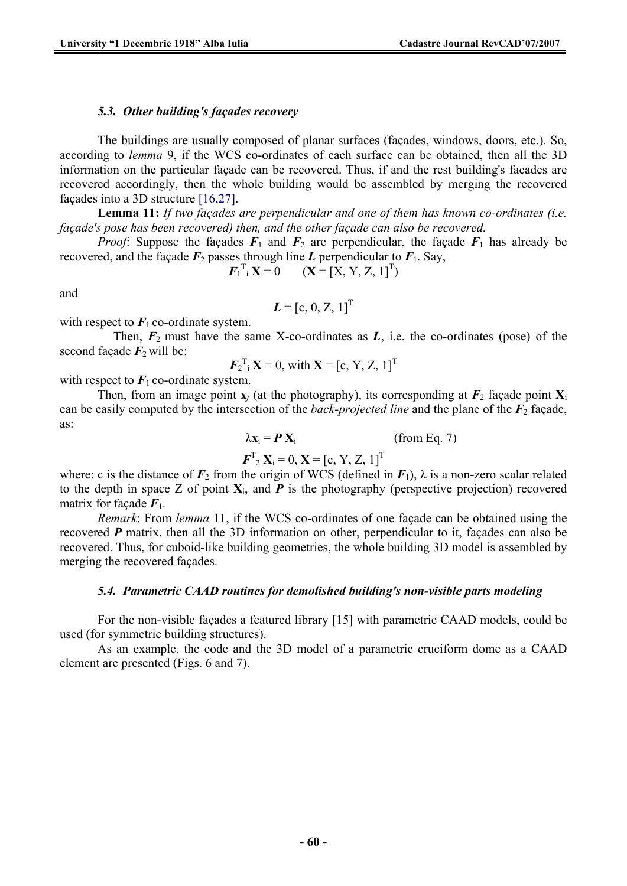#### *5.3. Other building's façades recovery*

The buildings are usually composed of planar surfaces (façades, windows, doors, etc.). So, according to *lemma* 9, if the WCS co-ordinates of each surface can be obtained, then all the 3D information on the particular façade can be recovered. Thus, if and the rest building's facades are recovered accordingly, then the whole building would be assembled by merging the recovered façades into a 3D structure [16,27].

**Lemma 11:** *If two façades are perpendicular and one of them has known co-ordinates (i.e. façade's pose has been recovered) then, and the other façade can also be recovered.*

*Proof*: Suppose the façades  $F_1$  and  $F_2$  are perpendicular, the façade  $F_1$  has already be recovered, and the façade  $F_2$  passes through line *L* perpendicular to  $F_1$ . Say,

$$
F_1^T
$$
<sub>i</sub>  $X = 0$   $(X = [X, Y, Z, 1]^T)$ 

and

$$
\boldsymbol{L} = [c, 0, Z, 1]^T
$$

with respect to  $F_1$  co-ordinate system.

Then,  $F_2$  must have the same X-co-ordinates as  $L$ , i.e. the co-ordinates (pose) of the second façade  $F_2$  will be:

$$
F_2^T
$$
<sub>i</sub>  $X = 0$ , with  $X = [c, Y, Z, 1]^T$ 

with respect to  $F_1$  co-ordinate system.

Then, from an image point  $\mathbf{x}_i$  (at the photography), its corresponding at  $\mathbf{F}_2$  façade point  $\mathbf{X}_i$ can be easily computed by the intersection of the *back-projected line* and the plane of the  $\vec{F}$ <sub>2</sub> facade, as:

$$
\lambda \mathbf{x}_i = \boldsymbol{P} \mathbf{X}_i \quad \text{(from Eq. 7)}
$$

$$
\boldsymbol{F}_{2}^{\mathrm{T}} \mathbf{X}_{i} = 0, \mathbf{X} = [\mathbf{c}, \mathbf{Y}, \mathbf{Z}, \mathbf{1}]^{\mathrm{T}}
$$

where: c is the distance of  $F_2$  from the origin of WCS (defined in  $F_1$ ),  $\lambda$  is a non-zero scalar related to the depth in space Z of point  $X_i$ , and P is the photography (perspective projection) recovered matrix for façade  $F_1$ .

*Remark*: From *lemma* 11, if the WCS co-ordinates of one façade can be obtained using the recovered *P* matrix, then all the 3D information on other, perpendicular to it, façades can also be recovered. Thus, for cuboid-like building geometries, the whole building 3D model is assembled by merging the recovered façades.

#### *5.4. Parametric CAAD routines for demolished building's non-visible parts modeling*

For the non-visible façades a featured library [15] with parametric CAAD models, could be used (for symmetric building structures).

As an example, the code and the 3D model of a parametric cruciform dome as a CAAD element are presented (Figs. 6 and 7).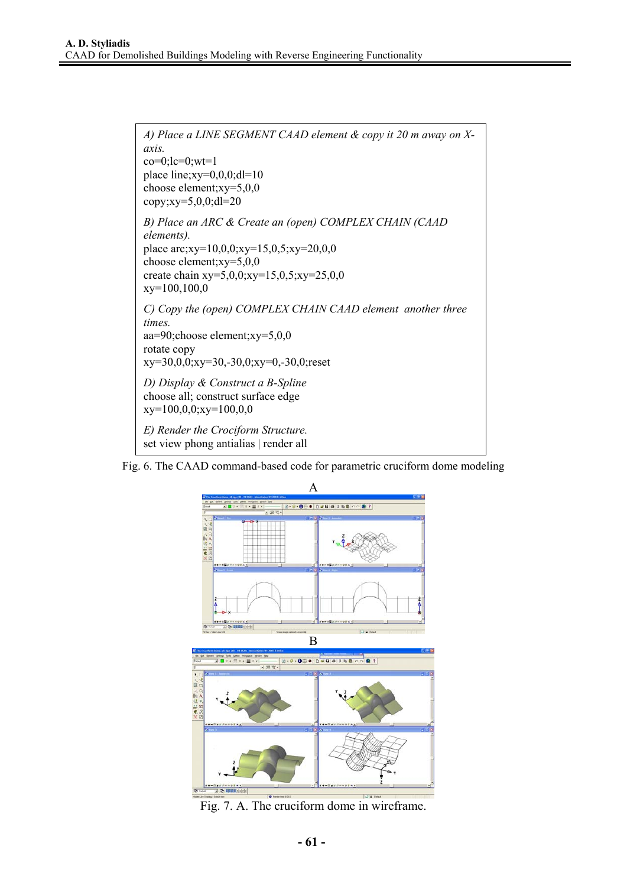*A) Place a LINE SEGMENT CAAD element & copy it 20 m away on Xaxis.*   $co=0;lc=0;wt=1$ place line; $xy=0,0,0;$ dl=10 choose element;xy=5,0,0  $copy; xy=5,0,0; dl=20$ *B) Place an ARC & Create an (open) COMPLEX CHAIN (CAAD elements).*  place arc;xy=10,0,0;xy=15,0,5;xy=20,0,0 choose element;xy=5,0,0 create chain xy=5,0,0;xy=15,0,5;xy=25,0,0 xy=100,100,0 *C) Copy the (open) COMPLEX CHAIN CAAD element another three times.*  aa=90;choose element;xy=5,0,0 rotate copy xy=30,0,0;xy=30,-30,0;xy=0,-30,0;reset *D) Display & Construct a B-Spline*  choose all; construct surface edge xy=100,0,0;xy=100,0,0 *E) Render the Crociform Structure.*  set view phong antialias | render all

Fig. 6. The CAAD command-based code for parametric cruciform dome modeling



Fig. 7. A. The cruciform dome in wireframe.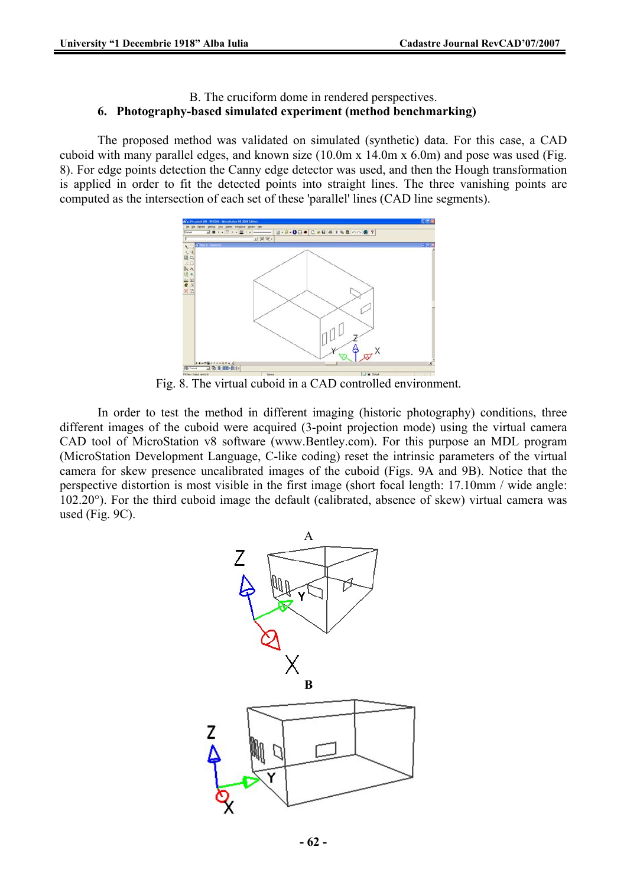## B. The cruciform dome in rendered perspectives. **6. Photography-based simulated experiment (method benchmarking)**

The proposed method was validated on simulated (synthetic) data. For this case, a CAD cuboid with many parallel edges, and known size (10.0m x 14.0m x 6.0m) and pose was used (Fig. 8). For edge points detection the Canny edge detector was used, and then the Hough transformation is applied in order to fit the detected points into straight lines. The three vanishing points are computed as the intersection of each set of these 'parallel' lines (CAD line segments).



Fig. 8. The virtual cuboid in a CAD controlled environment.

In order to test the method in different imaging (historic photography) conditions, three different images of the cuboid were acquired (3-point projection mode) using the virtual camera CAD tool of MicroStation v8 software (www.Bentley.com). For this purpose an MDL program (MicroStation Development Language, C-like coding) reset the intrinsic parameters of the virtual camera for skew presence uncalibrated images of the cuboid (Figs. 9A and 9B). Notice that the perspective distortion is most visible in the first image (short focal length: 17.10mm / wide angle: 102.20°). For the third cuboid image the default (calibrated, absence of skew) virtual camera was used (Fig. 9C).

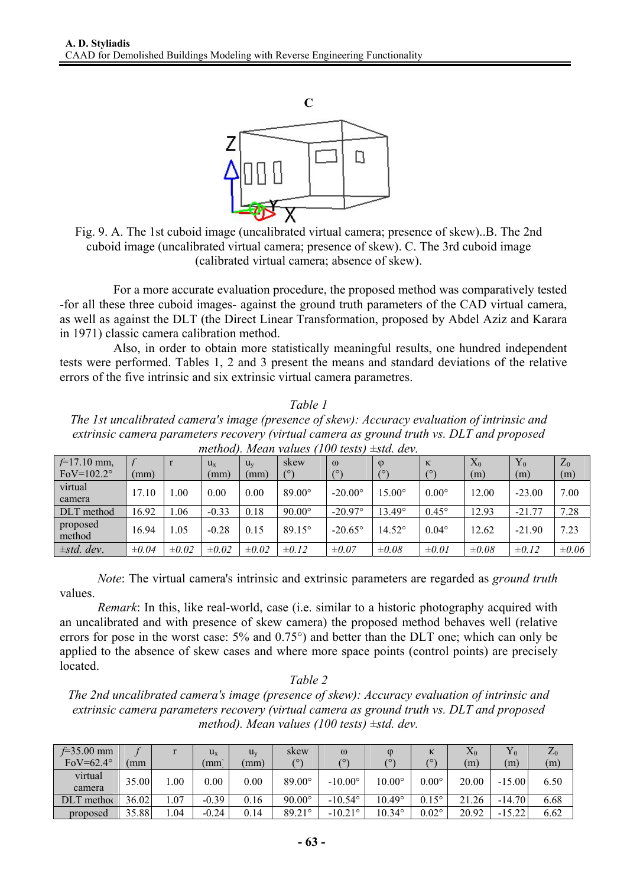

Fig. 9. A. The 1st cuboid image (uncalibrated virtual camera; presence of skew)..B. The 2nd cuboid image (uncalibrated virtual camera; presence of skew). C. The 3rd cuboid image (calibrated virtual camera; absence of skew).

 For a more accurate evaluation procedure, the proposed method was comparatively tested -for all these three cuboid images- against the ground truth parameters of the CAD virtual camera, as well as against the DLT (the Direct Linear Transformation, proposed by Abdel Aziz and Karara in 1971) classic camera calibration method.

 Also, in order to obtain more statistically meaningful results, one hundred independent tests were performed. Tables 1, 2 and 3 present the means and standard deviations of the relative errors of the five intrinsic and six extrinsic virtual camera parametres.

#### *Table 1*

*The 1st uncalibrated camera's image (presence of skew): Accuracy evaluation of intrinsic and extrinsic camera parameters recovery (virtual camera as ground truth vs. DLT and proposed method). Mean values (100 tests) ±std. dev.* 

| ,,,,,,,,,,,,,,,,,,,,,,,,,,,,,<br>$100$ vously<br>$-$ v $\cdots$ v $\cdots$ |            |            |            |            |                 |                  |                 |                |            |             |            |
|----------------------------------------------------------------------------|------------|------------|------------|------------|-----------------|------------------|-----------------|----------------|------------|-------------|------------|
| $f=17.10$ mm,                                                              |            |            | $u_{x}$    | $u_{v}$    | skew            | $\omega$         | $\omega$        | ĸ              | $X_0$      | ${\rm Y}_0$ | $Z_0$      |
| $FoV = 102.2^{\circ}$                                                      | (mm)       |            | (mm)       | (mm)       | $(^\circ)$      | (0)              |                 | (0)            | (m)        | (m)         | (m)        |
| virtual                                                                    | 17.10      | $00$ .     | 0.00       | 0.00       | $89.00^{\circ}$ | $-20.00^{\circ}$ | $15.00^{\circ}$ | $0.00^\circ$   | 12.00      | $-23.00$    | 7.00       |
| camera                                                                     |            |            |            |            |                 |                  |                 |                |            |             |            |
| DLT method                                                                 | 16.92      | .06        | $-0.33$    | 0.18       | $90.00^\circ$   | $-20.97^{\circ}$ | $13.49^{\circ}$ | $0.45^{\circ}$ | 12.93      | $-21.77$    | 7.28       |
| proposed<br>method                                                         | 16.94      | .05        | $-0.28$    | 0.15       | $89.15^{\circ}$ | $-20.65^{\circ}$ | $14.52^{\circ}$ | $0.04^\circ$   | 12.62      | $-21.90$    | 7.23       |
| $\pm$ std. dev.                                                            | $\pm 0.04$ | $\pm 0.02$ | $\pm 0.02$ | $\pm 0.02$ | $\pm 0.12$      | $\pm 0.07$       | $\pm 0.08$      | $\pm 0.01$     | $\pm 0.08$ | $\pm 0.12$  | $\pm 0.06$ |

*Note*: The virtual camera's intrinsic and extrinsic parameters are regarded as *ground truth* values.

*Remark*: In this, like real-world, case (i.e. similar to a historic photography acquired with an uncalibrated and with presence of skew camera) the proposed method behaves well (relative errors for pose in the worst case: 5% and 0.75°) and better than the DLT one; which can only be applied to the absence of skew cases and where more space points (control points) are precisely located.

*Table 2* 

*The 2nd uncalibrated camera's image (presence of skew): Accuracy evaluation of intrinsic and extrinsic camera parameters recovery (virtual camera as ground truth vs. DLT and proposed method). Mean values (100 tests) ±std. dev.* 

| $f = 35.00$ mm<br>$FoV = 62.4^\circ$ | mm    |      | $u_{x}$<br>mm) | $u_{v}$<br>(mm) | skew<br>(0)   | $\omega$<br>(0)  | $\omega$<br>(0) | ĸ<br>(0)       | $\Lambda_0$<br>(m) | ${\rm Y}_0$<br>(m) | $Z_0$<br>(m) |
|--------------------------------------|-------|------|----------------|-----------------|---------------|------------------|-----------------|----------------|--------------------|--------------------|--------------|
| virtual<br>camera                    | 35.00 | .00. | $0.00\,$       | 0.00            | $89.00^\circ$ | $-10.00^\circ$   | $10.00^{\circ}$ | $0.00^{\circ}$ | 20.00              | $-15.00$           | 6.50         |
| DLT method                           | 36.02 | .07  | $-0.39$        | 0.16            | $90.00^\circ$ | $-10.54^{\circ}$ | $10.49^\circ$   | $0.15^{\circ}$ | 21.26              | $-14.70$           | 6.68         |
| proposed                             | 35.88 | .04  | $-0.24$        | 0.14            | $89.21^\circ$ | $-10.21^{\circ}$ | $10.34^\circ$   | $0.02^{\circ}$ | 20.92              | $-15.22$           | 6.62         |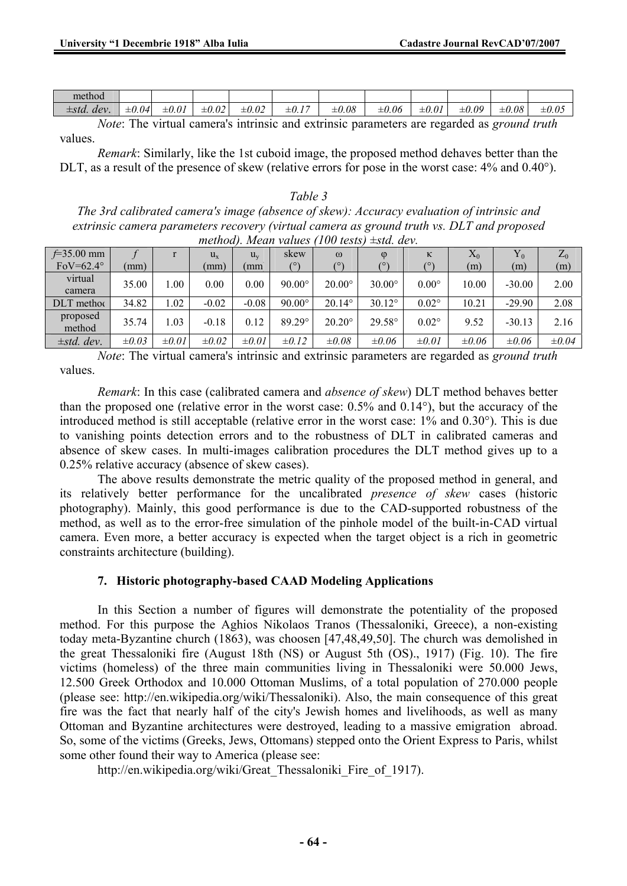| method            |                         |            |            |            |                             |            |            |                            |            |            |            |
|-------------------|-------------------------|------------|------------|------------|-----------------------------|------------|------------|----------------------------|------------|------------|------------|
| dev<br>$\pm$ std. | $\bigcap$<br>$\pm 0.04$ | $\pm 0.01$ | $\pm 0.02$ | $\pm 0.02$ | $\overline{ }$<br>$\pm 0.1$ | $\pm 0.08$ | $\pm 0.06$ | $\mathbf{A}$<br>$\pm 0.01$ | $\pm 0.09$ | $\pm 0.08$ | $\pm 0.05$ |

*Note*: The virtual camera's intrinsic and extrinsic parameters are regarded as *ground truth* values.

*Remark*: Similarly, like the 1st cuboid image, the proposed method dehaves better than the DLT, as a result of the presence of skew (relative errors for pose in the worst case:  $4\%$  and  $0.40^{\circ}$ ).

*Table 3 The 3rd calibrated camera's image (absence of skew): Accuracy evaluation of intrinsic and extrinsic camera parameters recovery (virtual camera as ground truth vs. DLT and proposed method). Mean values (100 tests) ±std. dev.* 

| ,,,,,,,,,,,,,,,,,,,,,,,,,,,,,,<br>1 V V L V J L J L<br>$-$ v $\cdots$ v $\cdots$ |            |            |            |            |                 |                 |                 |                |            |            |            |
|----------------------------------------------------------------------------------|------------|------------|------------|------------|-----------------|-----------------|-----------------|----------------|------------|------------|------------|
| $f=35.00$ mm                                                                     |            |            | $u_{x}$    | $u_{v}$    | skew            | $\omega$        | $\omega$        | к              | $X_0$      | $Y_0$      | $Z_0$      |
| $FoV = 62.4^\circ$                                                               | (mm)       |            | (mm)       | (mm        |                 | (0)             |                 | (0)            | (m)        | (m)        | (m)        |
| virtual<br>camera                                                                | 35.00      | .00.       | 0.00       | 0.00       | $90.00^{\circ}$ | $20.00^\circ$   | $30.00^\circ$   | $0.00^\circ$   | 10.00      | $-30.00$   | 2.00       |
| DLT method                                                                       | 34.82      | .02        | $-0.02$    | $-0.08$    | $90.00^\circ$   | $20.14^{\circ}$ | $30.12^{\circ}$ | $0.02^{\circ}$ | 10.21      | $-29.90$   | 2.08       |
| proposed<br>method                                                               | 35.74      | $\pm 03$   | $-0.18$    | 0.12       | $89.29^\circ$   | $20.20^\circ$   | 29.58°          | $0.02^{\circ}$ | 9.52       | $-30.13$   | 2.16       |
| $\pm$ std. dev.                                                                  | $\pm 0.03$ | $\pm 0.01$ | $\pm 0.02$ | $\pm 0.01$ | $\pm 0.12$      | $\pm 0.08$      | $\pm 0.06$      | $\pm 0.01$     | $\pm 0.06$ | $\pm 0.06$ | $\pm 0.04$ |

*Note*: The virtual camera's intrinsic and extrinsic parameters are regarded as *ground truth* values.

*Remark*: In this case (calibrated camera and *absence of skew*) DLT method behaves better than the proposed one (relative error in the worst case: 0.5% and 0.14°), but the accuracy of the introduced method is still acceptable (relative error in the worst case: 1% and 0.30°). This is due to vanishing points detection errors and to the robustness of DLT in calibrated cameras and absence of skew cases. In multi-images calibration procedures the DLT method gives up to a 0.25% relative accuracy (absence of skew cases).

The above results demonstrate the metric quality of the proposed method in general, and its relatively better performance for the uncalibrated *presence of skew* cases (historic photography). Mainly, this good performance is due to the CAD-supported robustness of the method, as well as to the error-free simulation of the pinhole model of the built-in-CAD virtual camera. Even more, a better accuracy is expected when the target object is a rich in geometric constraints architecture (building).

#### **7. Historic photography-based CAAD Modeling Applications**

In this Section a number of figures will demonstrate the potentiality of the proposed method. For this purpose the Aghios Nikolaos Tranos (Thessaloniki, Greece), a non-existing today meta-Byzantine church (1863), was choosen [47,48,49,50]. The church was demolished in the great Thessaloniki fire (August 18th (NS) or August 5th (OS)., 1917) (Fig. 10). The fire victims (homeless) of the three main communities living in Thessaloniki were 50.000 Jews, 12.500 Greek Orthodox and 10.000 Ottoman Muslims, of a total population of 270.000 people (please see: http://en.wikipedia.org/wiki/Thessaloniki). Also, the main consequence of this great fire was the fact that nearly half of the city's Jewish homes and livelihoods, as well as many Ottoman and Byzantine architectures were destroyed, leading to a massive emigration abroad. So, some of the victims (Greeks, Jews, Ottomans) stepped onto the Orient Express to Paris, whilst some other found their way to America (please see:

http://en.wikipedia.org/wiki/Great\_Thessaloniki\_Fire\_of\_1917).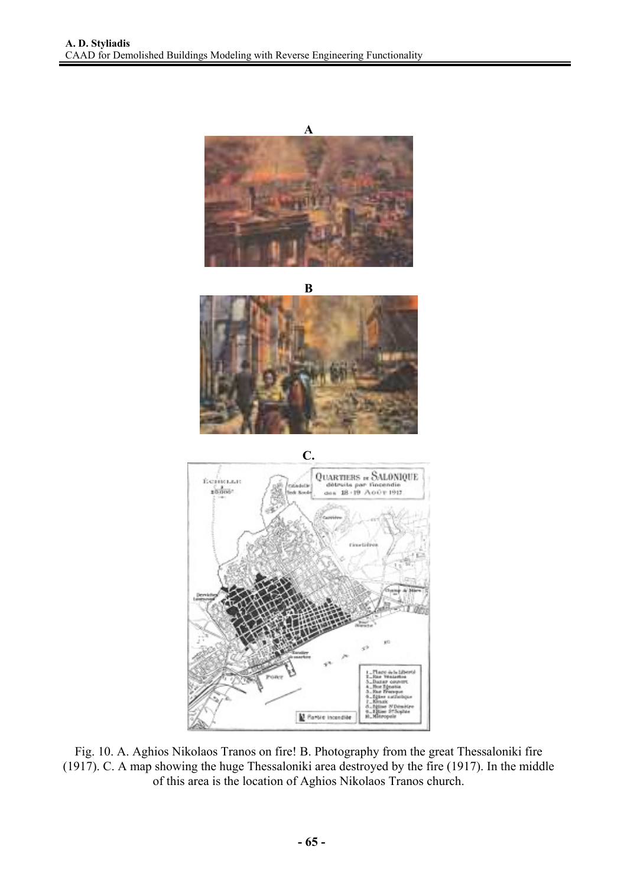

Fig. 10. A. Aghios Nikolaos Tranos on fire! B. Photography from the great Thessaloniki fire (1917). C. A map showing the huge Thessaloniki area destroyed by the fire (1917). In the middle of this area is the location of Aghios Nikolaos Tranos church.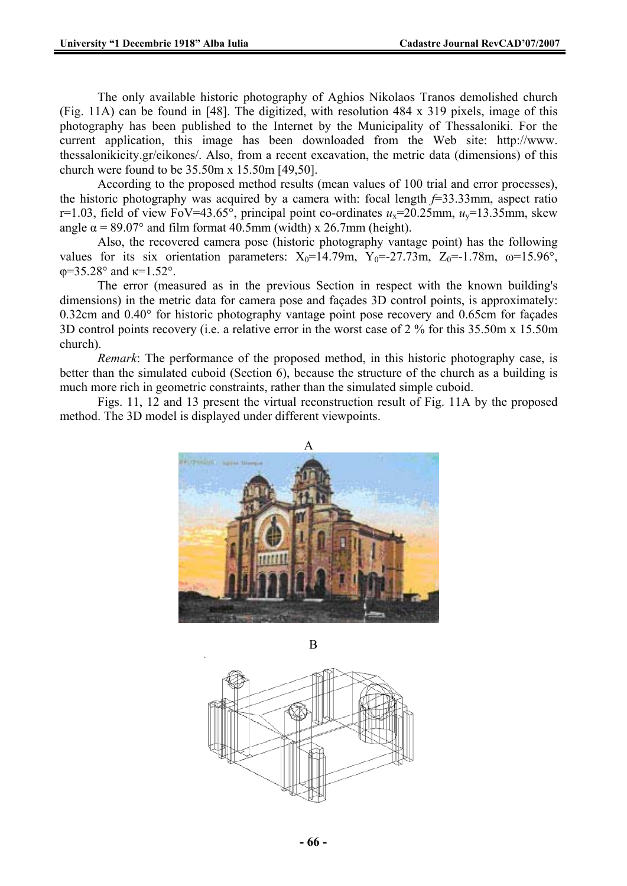The only available historic photography of Aghios Nikolaos Tranos demolished church (Fig. 11A) can be found in [48]. The digitized, with resolution 484 x 319 pixels, image of this photography has been published to the Internet by the Municipality of Thessaloniki. For the current application, this image has been downloaded from the Web site: http://www. thessalonikicity.gr/eikones/. Also, from a recent excavation, the metric data (dimensions) of this church were found to be 35.50m x 15.50m [49,50].

According to the proposed method results (mean values of 100 trial and error processes), the historic photography was acquired by a camera with: focal length *f*=33.33mm, aspect ratio r=1.03, field of view FoV=43.65°, principal point co-ordinates  $u_x$ =20.25mm,  $u_y$ =13.35mm, skew angle  $\alpha$  = 89.07° and film format 40.5mm (width) x 26.7mm (height).

Also, the recovered camera pose (historic photography vantage point) has the following values for its six orientation parameters:  $X_0=14.79$ m,  $Y_0=-27.73$ m,  $Z_0=-1.78$ m,  $\omega=15.96^\circ$ ,  $φ=35.28°$  and  $κ=1.52°$ .

The error (measured as in the previous Section in respect with the known building's dimensions) in the metric data for camera pose and façades 3D control points, is approximately: 0.32cm and 0.40° for historic photography vantage point pose recovery and 0.65cm for façades 3D control points recovery (i.e. a relative error in the worst case of 2 % for this 35.50m x 15.50m church).

*Remark*: The performance of the proposed method, in this historic photography case, is better than the simulated cuboid (Section 6), because the structure of the church as a building is much more rich in geometric constraints, rather than the simulated simple cuboid.

Figs. 11, 12 and 13 present the virtual reconstruction result of Fig. 11A by the proposed method. The 3D model is displayed under different viewpoints.



B

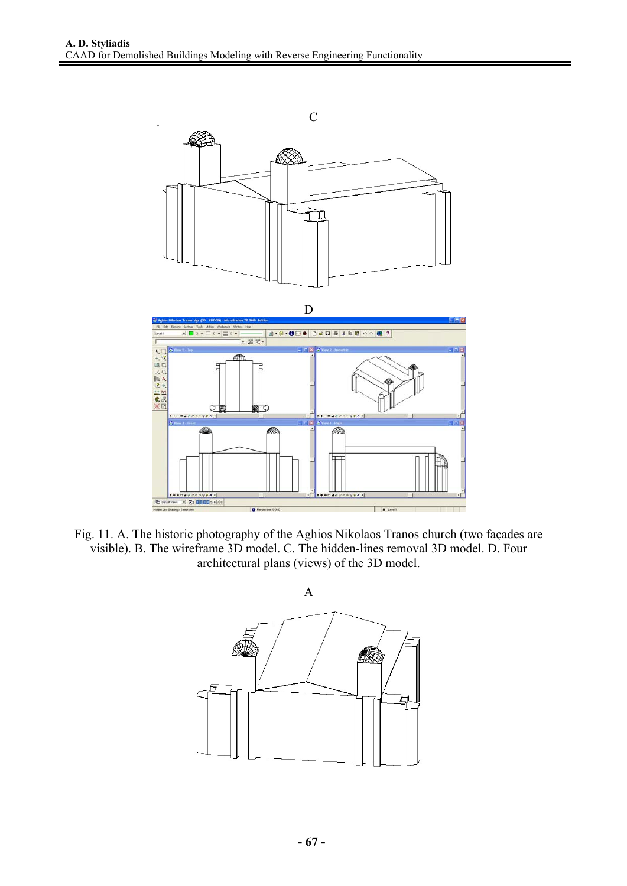

Fig. 11. A. The historic photography of the Aghios Nikolaos Tranos church (two façades are visible). B. The wireframe 3D model. C. The hidden-lines removal 3D model. D. Four architectural plans (views) of the 3D model.

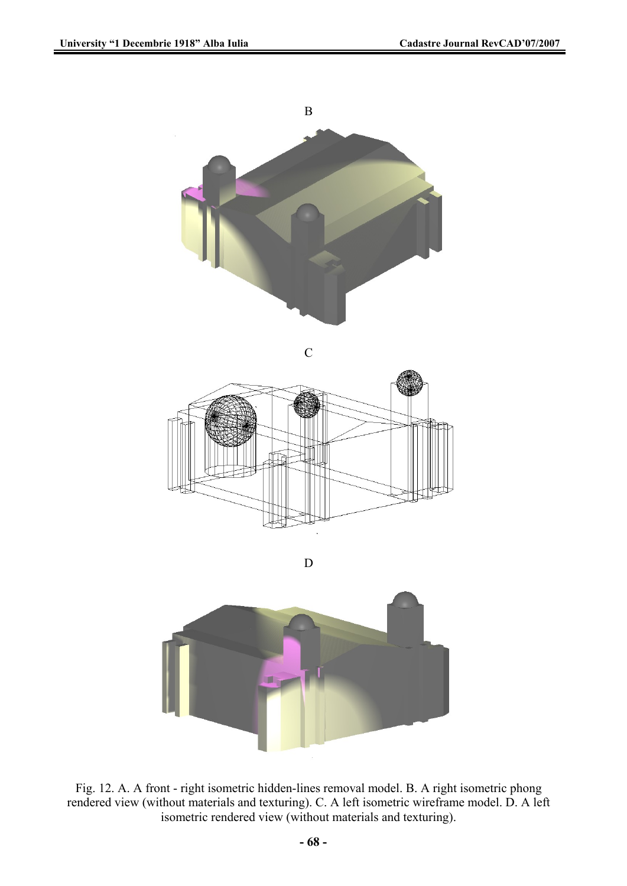

C



D



Fig. 12. A. A front - right isometric hidden-lines removal model. B. A right isometric phong rendered view (without materials and texturing). C. A left isometric wireframe model. D. A left isometric rendered view (without materials and texturing).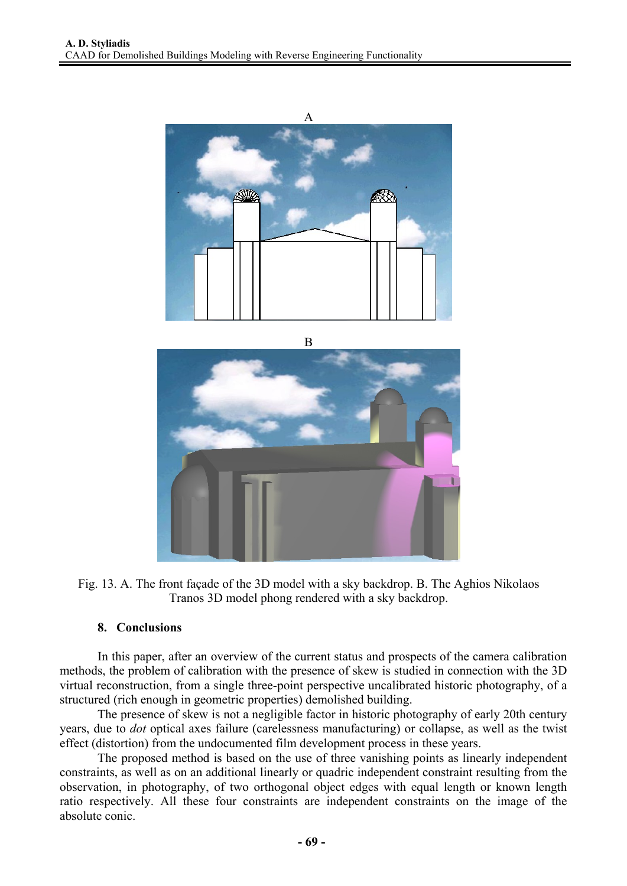



Fig. 13. A. The front façade of the 3D model with a sky backdrop. B. The Aghios Nikolaos Tranos 3D model phong rendered with a sky backdrop.

#### **8. Conclusions**

In this paper, after an overview of the current status and prospects of the camera calibration methods, the problem of calibration with the presence of skew is studied in connection with the 3D virtual reconstruction, from a single three-point perspective uncalibrated historic photography, of a structured (rich enough in geometric properties) demolished building.

The presence of skew is not a negligible factor in historic photography of early 20th century years, due to *dot* optical axes failure (carelessness manufacturing) or collapse, as well as the twist effect (distortion) from the undocumented film development process in these years.

The proposed method is based on the use of three vanishing points as linearly independent constraints, as well as on an additional linearly or quadric independent constraint resulting from the observation, in photography, of two orthogonal object edges with equal length or known length ratio respectively. All these four constraints are independent constraints on the image of the absolute conic.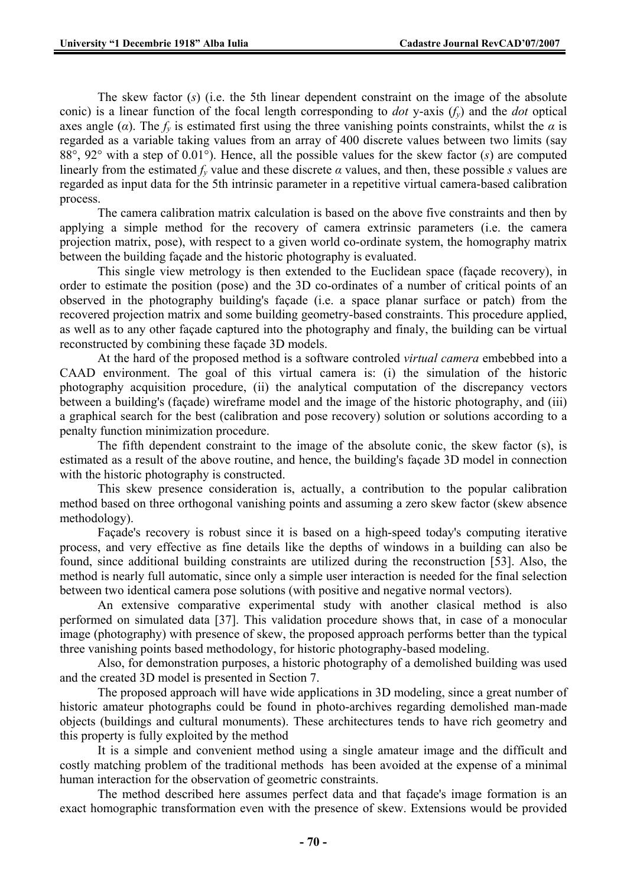The skew factor (*s*) (i.e. the 5th linear dependent constraint on the image of the absolute conic) is a linear function of the focal length corresponding to *dot* y-axis (*fy*) and the *dot* optical axes angle ( $\alpha$ ). The  $f_y$  is estimated first using the three vanishing points constraints, whilst the  $\alpha$  is regarded as a variable taking values from an array of 400 discrete values between two limits (say 88°, 92° with a step of 0.01°). Hence, all the possible values for the skew factor (*s*) are computed linearly from the estimated  $f<sub>v</sub>$  value and these discrete  $\alpha$  values, and then, these possible *s* values are regarded as input data for the 5th intrinsic parameter in a repetitive virtual camera-based calibration process.

The camera calibration matrix calculation is based on the above five constraints and then by applying a simple method for the recovery of camera extrinsic parameters (i.e. the camera projection matrix, pose), with respect to a given world co-ordinate system, the homography matrix between the building façade and the historic photography is evaluated.

This single view metrology is then extended to the Euclidean space (façade recovery), in order to estimate the position (pose) and the 3D co-ordinates of a number of critical points of an observed in the photography building's façade (i.e. a space planar surface or patch) from the recovered projection matrix and some building geometry-based constraints. This procedure applied, as well as to any other façade captured into the photography and finaly, the building can be virtual reconstructed by combining these façade 3D models.

At the hard of the proposed method is a software controled *virtual camera* embebbed into a CAAD environment. The goal of this virtual camera is: (i) the simulation of the historic photography acquisition procedure, (ii) the analytical computation of the discrepancy vectors between a building's (façade) wireframe model and the image of the historic photography, and (iii) a graphical search for the best (calibration and pose recovery) solution or solutions according to a penalty function minimization procedure.

The fifth dependent constraint to the image of the absolute conic, the skew factor (s), is estimated as a result of the above routine, and hence, the building's façade 3D model in connection with the historic photography is constructed.

This skew presence consideration is, actually, a contribution to the popular calibration method based on three orthogonal vanishing points and assuming a zero skew factor (skew absence methodology).

Façade's recovery is robust since it is based on a high-speed today's computing iterative process, and very effective as fine details like the depths of windows in a building can also be found, since additional building constraints are utilized during the reconstruction [53]. Also, the method is nearly full automatic, since only a simple user interaction is needed for the final selection between two identical camera pose solutions (with positive and negative normal vectors).

An extensive comparative experimental study with another clasical method is also performed on simulated data [37]. This validation procedure shows that, in case of a monocular image (photography) with presence of skew, the proposed approach performs better than the typical three vanishing points based methodology, for historic photography-based modeling.

Also, for demonstration purposes, a historic photography of a demolished building was used and the created 3D model is presented in Section 7.

The proposed approach will have wide applications in 3D modeling, since a great number of historic amateur photographs could be found in photo-archives regarding demolished man-made objects (buildings and cultural monuments). These architectures tends to have rich geometry and this property is fully exploited by the method

It is a simple and convenient method using a single amateur image and the difficult and costly matching problem of the traditional methods has been avoided at the expense of a minimal human interaction for the observation of geometric constraints.

The method described here assumes perfect data and that façade's image formation is an exact homographic transformation even with the presence of skew. Extensions would be provided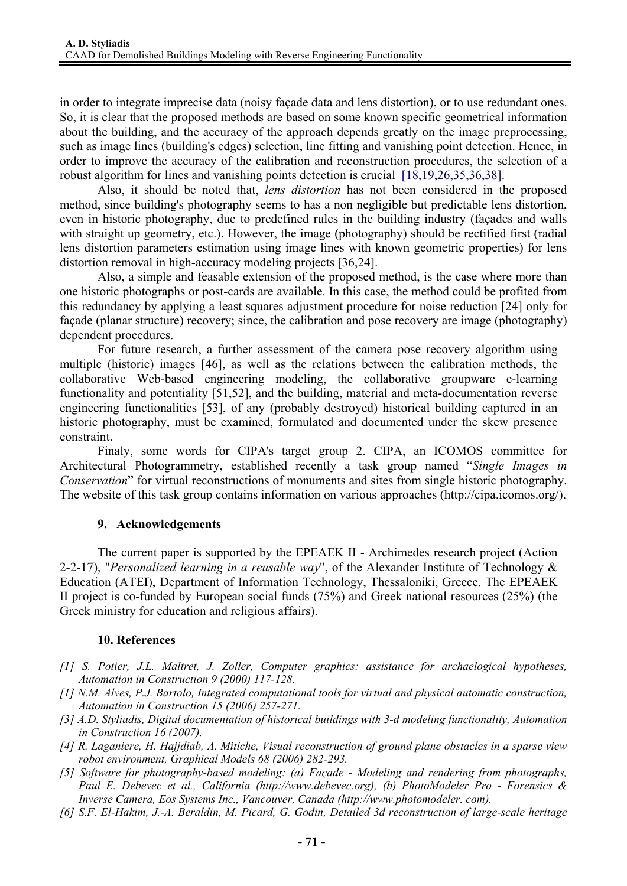in order to integrate imprecise data (noisy façade data and lens distortion), or to use redundant ones. So, it is clear that the proposed methods are based on some known specific geometrical information about the building, and the accuracy of the approach depends greatly on the image preprocessing, such as image lines (building's edges) selection, line fitting and vanishing point detection. Hence, in order to improve the accuracy of the calibration and reconstruction procedures, the selection of a robust algorithm for lines and vanishing points detection is crucial [18,19,26,35,36,38].

Also, it should be noted that, *lens distortion* has not been considered in the proposed method, since building's photography seems to has a non negligible but predictable lens distortion, even in historic photography, due to predefined rules in the building industry (façades and walls with straight up geometry, etc.). However, the image (photography) should be rectified first (radial lens distortion parameters estimation using image lines with known geometric properties) for lens distortion removal in high-accuracy modeling projects [36,24].

Also, a simple and feasable extension of the proposed method, is the case where more than one historic photographs or post-cards are available. In this case, the method could be profited from this redundancy by applying a least squares adjustment procedure for noise reduction [24] only for façade (planar structure) recovery; since, the calibration and pose recovery are image (photography) dependent procedures.

For future research, a further assessment of the camera pose recovery algorithm using multiple (historic) images [46], as well as the relations between the calibration methods, the collaborative Web-based engineering modeling, the collaborative groupware e-learning functionality and potentiality [51,52], and the building, material and meta-documentation reverse engineering functionalities [53], of any (probably destroyed) historical building captured in an historic photography, must be examined, formulated and documented under the skew presence constraint.

Finaly, some words for CIPA's target group 2. CIPA, an ICOMOS committee for Architectural Photogrammetry, established recently a task group named "*Single Images in Conservation*" for virtual reconstructions of monuments and sites from single historic photography. The website of this task group contains information on various approaches (http://cipa.icomos.org/).

#### **9. Acknowledgements**

The current paper is supported by the EPEAEK II - Archimedes research project (Action 2-2-17), "*Personalized learning in a reusable way*", of the Alexander Institute of Technology & Education (ATEI), Department of Information Technology, Thessaloniki, Greece. The EPEAEK II project is co-funded by European social funds (75%) and Greek national resources (25%) (the Greek ministry for education and religious affairs).

#### **10. References**

- *[1] S. Potier, J.L. Maltret, J. Zoller, Computer graphics: assistance for archaelogical hypotheses, Automation in Construction 9 (2000) 117-128.*
- *[1] N.M. Alves, P.J. Bartolo, Integrated computational tools for virtual and physical automatic construction, Automation in Construction 15 (2006) 257-271.*
- *[3] A.D. Styliadis, Digital documentation of historical buildings with 3-d modeling functionality, Automation in Construction 16 (2007).*
- *[4] R. Laganiere, H. Hajjdiab, A. Mitiche, Visual reconstruction of ground plane obstacles in a sparse view robot environment, Graphical Models 68 (2006) 282-293.*
- *[5] Software for photography-based modeling: (a) Façade Modeling and rendering from photographs, Paul E. Debevec et al., California (http://www.debevec.org), (b) PhotoModeler Pro - Forensics & Inverse Camera, Eos Systems Inc., Vancouver, Canada (http://www.photomodeler. com).*
- *[6] S.F. El-Hakim, J.-A. Beraldin, M. Picard, G. Godin, Detailed 3d reconstruction of large-scale heritage*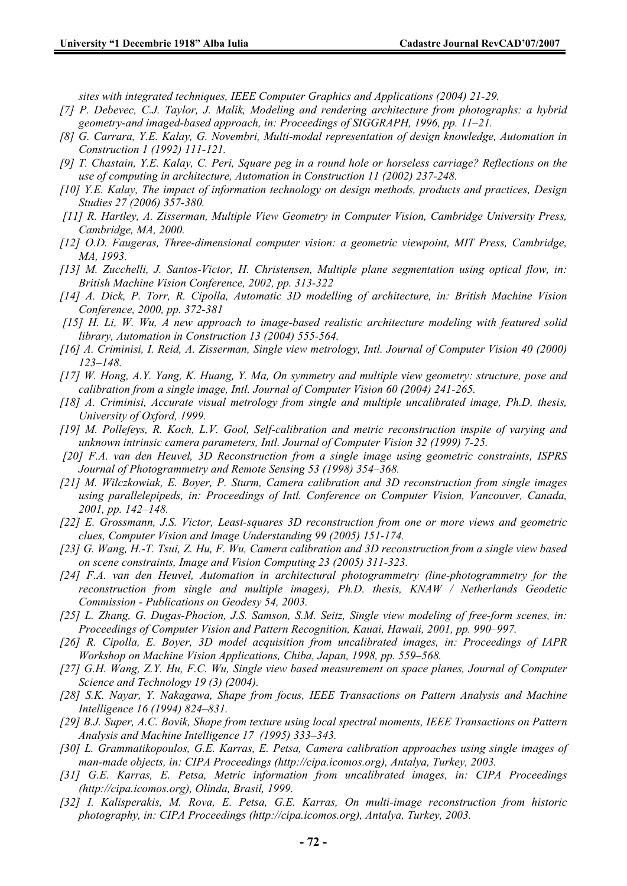*sites with integrated techniques, IEEE Computer Graphics and Applications (2004) 21-29.* 

- *[7] P. Debevec, C.J. Taylor, J. Malik, Modeling and rendering architecture from photographs: a hybrid geometry-and imaged-based approach, in: Proceedings of SIGGRAPH, 1996, pp. 11–21.*
- *[8] G. Carrara, Y.E. Kalay, G. Novembri, Multi-modal representation of design knowledge, Automation in Construction 1 (1992) 111-121.*
- *[9] T. Chastain, Y.E. Kalay, C. Peri, Square peg in a round hole or horseless carriage? Reflections on the use of computing in architecture, Automation in Construction 11 (2002) 237-248.*
- *[10] Y.E. Kalay, The impact of information technology on design methods, products and practices, Design Studies 27 (2006) 357-380.*
- *[11] R. Hartley, A. Zisserman, Multiple View Geometry in Computer Vision, Cambridge University Press, Cambridge, MA, 2000.*
- *[12] O.D. Faugeras, Three-dimensional computer vision: a geometric viewpoint, MIT Press, Cambridge, MA, 1993.*
- *[13] M. Zucchelli, J. Santos-Victor, H. Christensen, Multiple plane segmentation using optical flow, in: British Machine Vision Conference, 2002, pp. 313-322*
- *[14] A. Dick, P. Torr, R. Cipolla, Automatic 3D modelling of architecture, in: British Machine Vision Conference, 2000, pp. 372-381*
- *[15] H. Li, W. Wu, A new approach to image-based realistic architecture modeling with featured solid library, Automation in Construction 13 (2004) 555-564.*
- *[16] A. Criminisi, I. Reid, A. Zisserman, Single view metrology, Intl. Journal of Computer Vision 40 (2000) 123–148.*
- *[17] W. Hong, A.Y. Yang, K. Huang, Y. Ma, On symmetry and multiple view geometry: structure, pose and calibration from a single image, Intl. Journal of Computer Vision 60 (2004) 241-265.*
- *[18] A. Criminisi, Accurate visual metrology from single and multiple uncalibrated image, Ph.D. thesis, University of Oxford, 1999.*
- *[19] M. Pollefeys, R. Koch, L.V. Gool, Self-calibration and metric reconstruction inspite of varying and unknown intrinsic camera parameters, Intl. Journal of Computer Vision 32 (1999) 7-25.*
- *[20] F.A. van den Heuvel, 3D Reconstruction from a single image using geometric constraints, ISPRS Journal of Photogrammetry and Remote Sensing 53 (1998) 354–368.*
- *[21] M. Wilczkowiak, E. Boyer, P. Sturm, Camera calibration and 3D reconstruction from single images using parallelepipeds, in: Proceedings of Intl. Conference on Computer Vision, Vancouver, Canada, 2001, pp. 142–148.*
- *[22] E. Grossmann, J.S. Victor, Least-squares 3D reconstruction from one or more views and geometric clues, Computer Vision and Image Understanding 99 (2005) 151-174.*
- *[23] G. Wang, H.-T. Tsui, Z. Hu, F. Wu, Camera calibration and 3D reconstruction from a single view based on scene constraints, Image and Vision Computing 23 (2005) 311-323.*
- *[24] F.A. van den Heuvel, Automation in architectural photogrammetry (line-photogrammetry for the reconstruction from single and multiple images), Ph.D. thesis, KNAW / Netherlands Geodetic Commission - Publications on Geodesy 54, 2003.*
- *[25] L. Zhang, G. Dugas-Phocion, J.S. Samson, S.M. Seitz, Single view modeling of free-form scenes, in: Proceedings of Computer Vision and Pattern Recognition, Kauai, Hawaii, 2001, pp. 990–997.*
- *[26] R. Cipolla, E. Boyer, 3D model acquisition from uncalibrated images, in: Proceedings of IAPR Workshop on Machine Vision Applications, Chiba, Japan, 1998, pp. 559–568.*
- *[27] G.H. Wang, Z.Y. Hu, F.C. Wu, Single view based measurement on space planes, Journal of Computer Science and Technology 19 (3) (2004).*
- *[28] S.K. Nayar, Y. Nakagawa, Shape from focus, IEEE Transactions on Pattern Analysis and Machine Intelligence 16 (1994) 824–831.*
- *[29] B.J. Super, A.C. Bovik, Shape from texture using local spectral moments, IEEE Transactions on Pattern Analysis and Machine Intelligence 17 (1995) 333–343.*
- *[30] L. Grammatikopoulos, G.E. Karras, E. Petsa, Camera calibration approaches using single images of man-made objects, in: CIPA Proceedings (http://cipa.icomos.org), Antalya, Turkey, 2003.*
- *[31] G.E. Karras, E. Petsa, Metric information from uncalibrated images, in: CIPA Proceedings (http://cipa.icomos.org), Olinda, Brasil, 1999.*
- *[32] I. Kalisperakis, M. Rova, E. Petsa, G.E. Karras, On multi-image reconstruction from historic photography, in: CIPA Proceedings (http://cipa.icomos.org), Antalya, Turkey, 2003.*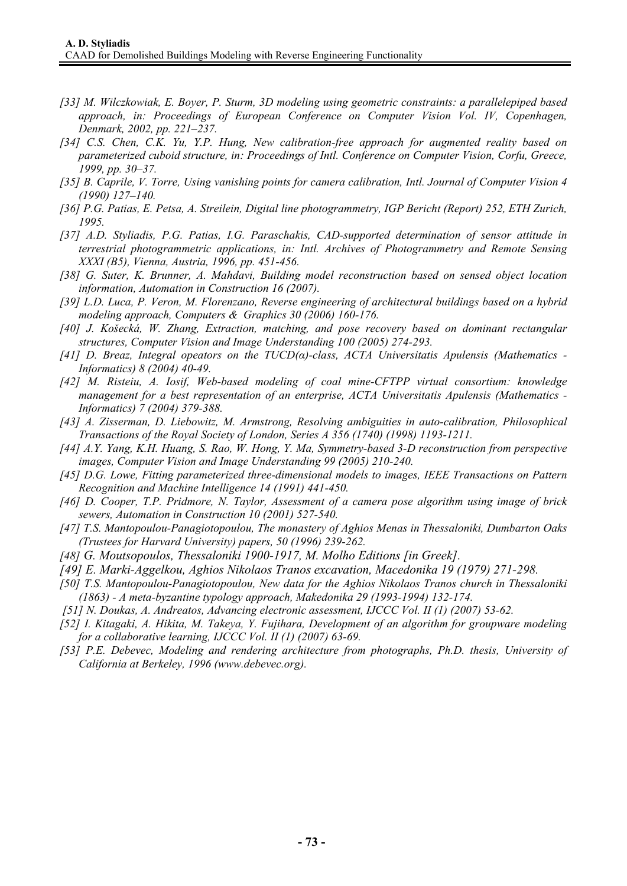- *[33] M. Wilczkowiak, E. Boyer, P. Sturm, 3D modeling using geometric constraints: a parallelepiped based approach, in: Proceedings of European Conference on Computer Vision Vol. IV, Copenhagen, Denmark, 2002, pp. 221–237.*
- *[34] C.S. Chen, C.K. Yu, Y.P. Hung, New calibration-free approach for augmented reality based on parameterized cuboid structure, in: Proceedings of Intl. Conference on Computer Vision, Corfu, Greece, 1999, pp. 30–37.*
- *[35] B. Caprile, V. Torre, Using vanishing points for camera calibration, Intl. Journal of Computer Vision 4 (1990) 127–140.*
- *[36] P.G. Patias, E. Petsa, A. Streilein, Digital line photogrammetry, IGP Bericht (Report) 252, ETH Zurich, 1995.*
- *[37] A.D. Styliadis, P.G. Patias, I.G. Paraschakis, CAD-supported determination of sensor attitude in terrestrial photogrammetric applications, in: Intl. Archives of Photogrammetry and Remote Sensing XXXI (B5), Vienna, Austria, 1996, pp. 451-456.*
- *[38] G. Suter, K. Brunner, A. Mahdavi, Building model reconstruction based on sensed object location information, Automation in Construction 16 (2007).*
- *[39] L.D. Luca, P. Veron, M. Florenzano, Reverse engineering of architectural buildings based on a hybrid modeling approach, Computers & Graphics 30 (2006) 160-176.*
- *[40] J. Košecká, W. Zhang, Extraction, matching, and pose recovery based on dominant rectangular structures, Computer Vision and Image Understanding 100 (2005) 274-293.*
- *[41] D. Breaz, Integral opeators on the TUCD(α)-class, ACTA Universitatis Apulensis (Mathematics Informatics) 8 (2004) 40-49.*
- *[42] M. Risteiu, A. Iosif, Web-based modeling of coal mine-CFTPP virtual consortium: knowledge management for a best representation of an enterprise, ACTA Universitatis Apulensis (Mathematics - Informatics) 7 (2004) 379-388.*
- *[43] A. Zisserman, D. Liebowitz, M. Armstrong, Resolving ambiguities in auto-calibration, Philosophical Transactions of the Royal Society of London, Series A 356 (1740) (1998) 1193-1211.*
- *[44] A.Y. Yang, K.H. Huang, S. Rao, W. Hong, Y. Ma, Symmetry-based 3-D reconstruction from perspective images, Computer Vision and Image Understanding 99 (2005) 210-240.*
- *[45] D.G. Lowe, Fitting parameterized three-dimensional models to images, IEEE Transactions on Pattern Recognition and Machine Intelligence 14 (1991) 441-450.*
- *[46] D. Cooper, T.P. Pridmore, N. Taylor, Assessment of a camera pose algorithm using image of brick sewers, Automation in Construction 10 (2001) 527-540.*
- *[47] T.S. Mantopoulou-Panagiotopoulou, The monastery of Aghios Menas in Thessaloniki, Dumbarton Oaks (Trustees for Harvard University) papers, 50 (1996) 239-262.*
- *[48] G. Moutsopoulos, Thessaloniki 1900-1917, M. Molho Editions [in Greek].*
- *[49] E. Marki-Aggelkou, Aghios Nikolaos Tranos excavation, Macedonika 19 (1979) 271-298.*
- *[50] T.S. Mantopoulou-Panagiotopoulou, New data for the Aghios Nikolaos Tranos church in Thessaloniki (1863) - A meta-byzantine typology approach, Makedonika 29 (1993-1994) 132-174.*
- *[51] N. Doukas, A. Andreatos, Advancing electronic assessment, IJCCC Vol. II (1) (2007) 53-62.*
- *[52] I. Kitagaki, A. Hikita, M. Takeya, Y. Fujihara, Development of an algorithm for groupware modeling for a collaborative learning, IJCCC Vol. II (1) (2007) 63-69.*
- *[53] P.E. Debevec, Modeling and rendering architecture from photographs, Ph.D. thesis, University of California at Berkeley, 1996 (www.debevec.org).*